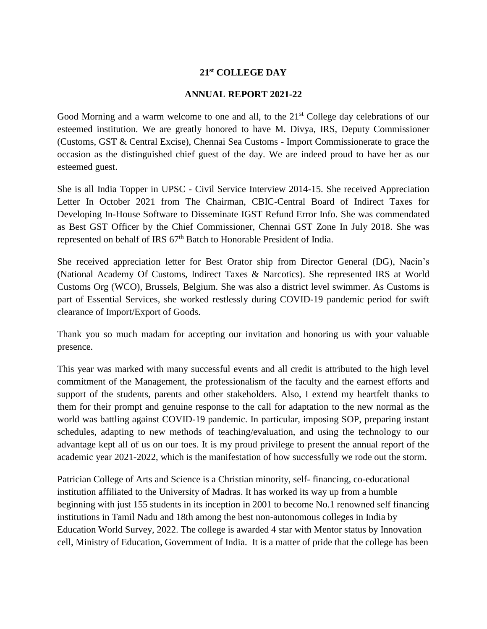#### **21st COLLEGE DAY**

#### **ANNUAL REPORT 2021-22**

Good Morning and a warm welcome to one and all, to the  $21<sup>st</sup>$  College day celebrations of our esteemed institution. We are greatly honored to have M. Divya, IRS, Deputy Commissioner (Customs, GST & Central Excise), Chennai Sea Customs - Import Commissionerate to grace the occasion as the distinguished chief guest of the day. We are indeed proud to have her as our esteemed guest.

She is all India Topper in UPSC - Civil Service Interview 2014-15. She received Appreciation Letter In October 2021 from The Chairman, CBIC-Central Board of Indirect Taxes for Developing In-House Software to Disseminate IGST Refund Error Info. She was commendated as Best GST Officer by the Chief Commissioner, Chennai GST Zone In July 2018. She was represented on behalf of IRS 67<sup>th</sup> Batch to Honorable President of India.

She received appreciation letter for Best Orator ship from Director General (DG), Nacin's (National Academy Of Customs, Indirect Taxes & Narcotics). She represented IRS at World Customs Org (WCO), Brussels, Belgium. She was also a district level swimmer. As Customs is part of Essential Services, she worked restlessly during COVID-19 pandemic period for swift clearance of Import/Export of Goods.

Thank you so much madam for accepting our invitation and honoring us with your valuable presence.

This year was marked with many successful events and all credit is attributed to the high level commitment of the Management, the professionalism of the faculty and the earnest efforts and support of the students, parents and other stakeholders. Also, I extend my heartfelt thanks to them for their prompt and genuine response to the call for adaptation to the new normal as the world was battling against COVID-19 pandemic. In particular, imposing SOP, preparing instant schedules, adapting to new methods of teaching/evaluation, and using the technology to our advantage kept all of us on our toes. It is my proud privilege to present the annual report of the academic year 2021-2022, which is the manifestation of how successfully we rode out the storm.

Patrician College of Arts and Science is a Christian minority, self- financing, co-educational institution affiliated to the University of Madras. It has worked its way up from a humble beginning with just 155 students in its inception in 2001 to become No.1 renowned self financing institutions in Tamil Nadu and 18th among the best non-autonomous colleges in India by Education World Survey, 2022. The college is awarded 4 star with Mentor status by Innovation cell, Ministry of Education, Government of India. It is a matter of pride that the college has been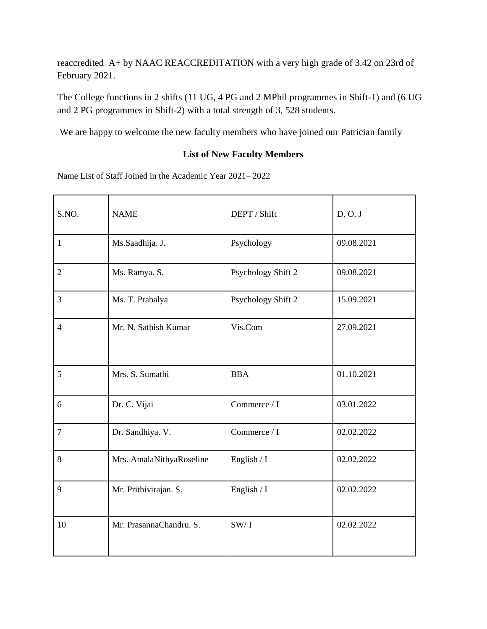reaccredited A+ by NAAC REACCREDITATION with a very high grade of 3.42 on 23rd of February 2021.

The College functions in 2 shifts (11 UG, 4 PG and 2 MPhil programmes in Shift-1) and (6 UG and 2 PG programmes in Shift-2) with a total strength of 3, 528 students.

We are happy to welcome the new faculty members who have joined our Patrician family

### **List of New Faculty Members**

Name List of Staff Joined in the Academic Year 2021– 2022

| S.NO.          | <b>NAME</b>              | DEPT / Shift       | D. O. J    |
|----------------|--------------------------|--------------------|------------|
| $\mathbf{1}$   | Ms.Saadhija. J.          | Psychology         | 09.08.2021 |
| $\overline{2}$ | Ms. Ramya. S.            | Psychology Shift 2 | 09.08.2021 |
| 3              | Ms. T. Prabalya          | Psychology Shift 2 | 15.09.2021 |
| $\overline{4}$ | Mr. N. Sathish Kumar     | Vis.Com            | 27.09.2021 |
| 5              | Mrs. S. Sumathi          | <b>BBA</b>         | 01.10.2021 |
| 6              | Dr. C. Vijai             | Commerce / I       | 03.01.2022 |
| $\overline{7}$ | Dr. Sandhiya. V.         | Commerce / I       | 02.02.2022 |
| 8              | Mrs. AmalaNithyaRoseline | English / I        | 02.02.2022 |
| 9              | Mr. Prithivirajan. S.    | English / I        | 02.02.2022 |
| 10             | Mr. PrasannaChandru. S.  | SW/1               | 02.02.2022 |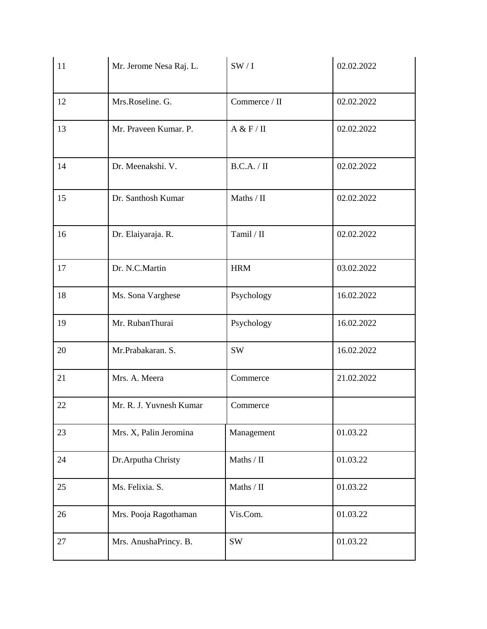| 11 | Mr. Jerome Nesa Raj. L. | SW/1             | 02.02.2022 |
|----|-------------------------|------------------|------------|
| 12 | Mrs.Roseline. G.        | Commerce / II    | 02.02.2022 |
| 13 | Mr. Praveen Kumar. P.   | A & F / II       | 02.02.2022 |
| 14 | Dr. Meenakshi. V.       | B.C.A. / II      | 02.02.2022 |
| 15 | Dr. Santhosh Kumar      | Maths / II       | 02.02.2022 |
| 16 | Dr. Elaiyaraja. R.      | Tamil / II       | 02.02.2022 |
| 17 | Dr. N.C.Martin          | <b>HRM</b>       | 03.02.2022 |
| 18 | Ms. Sona Varghese       | Psychology       | 16.02.2022 |
| 19 | Mr. RubanThurai         | Psychology       | 16.02.2022 |
| 20 | Mr.Prabakaran. S.       | <b>SW</b>        | 16.02.2022 |
| 21 | Mrs. A. Meera           | Commerce         | 21.02.2022 |
| 22 | Mr. R. J. Yuvnesh Kumar | Commerce         |            |
| 23 | Mrs. X, Palin Jeromina  | Management       | 01.03.22   |
| 24 | Dr.Arputha Christy      | Maths / $\rm II$ | 01.03.22   |
| 25 | Ms. Felixia. S.         | Maths / $\rm II$ | 01.03.22   |
| 26 | Mrs. Pooja Ragothaman   | Vis.Com.         | 01.03.22   |
| 27 | Mrs. AnushaPrincy. B.   | <b>SW</b>        | 01.03.22   |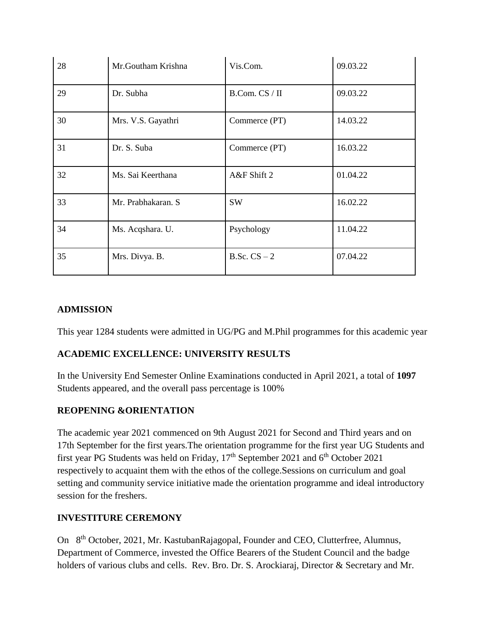| 28 | Mr.Goutham Krishna | Vis.Com.       | 09.03.22 |
|----|--------------------|----------------|----------|
| 29 | Dr. Subha          | B.Com. CS / II | 09.03.22 |
| 30 | Mrs. V.S. Gayathri | Commerce (PT)  | 14.03.22 |
| 31 | Dr. S. Suba        | Commerce (PT)  | 16.03.22 |
| 32 | Ms. Sai Keerthana  | A&F Shift 2    | 01.04.22 |
| 33 | Mr. Prabhakaran. S | <b>SW</b>      | 16.02.22 |
| 34 | Ms. Acqshara. U.   | Psychology     | 11.04.22 |
| 35 | Mrs. Divya. B.     | B.Sc. $CS - 2$ | 07.04.22 |

#### **ADMISSION**

This year 1284 students were admitted in UG/PG and M.Phil programmes for this academic year

### **ACADEMIC EXCELLENCE: UNIVERSITY RESULTS**

In the University End Semester Online Examinations conducted in April 2021, a total of **1097** Students appeared, and the overall pass percentage is 100%

### **REOPENING &ORIENTATION**

The academic year 2021 commenced on 9th August 2021 for Second and Third years and on 17th September for the first years.The orientation programme for the first year UG Students and first year PG Students was held on Friday,  $17<sup>th</sup>$  September 2021 and  $6<sup>th</sup>$  October 2021 respectively to acquaint them with the ethos of the college.Sessions on curriculum and goal setting and community service initiative made the orientation programme and ideal introductory session for the freshers.

#### **INVESTITURE CEREMONY**

On 8th October, 2021, Mr. KastubanRajagopal, Founder and CEO, Clutterfree, Alumnus, Department of Commerce, invested the Office Bearers of the Student Council and the badge holders of various clubs and cells. Rev. Bro. Dr. S. Arockiaraj, Director & Secretary and Mr.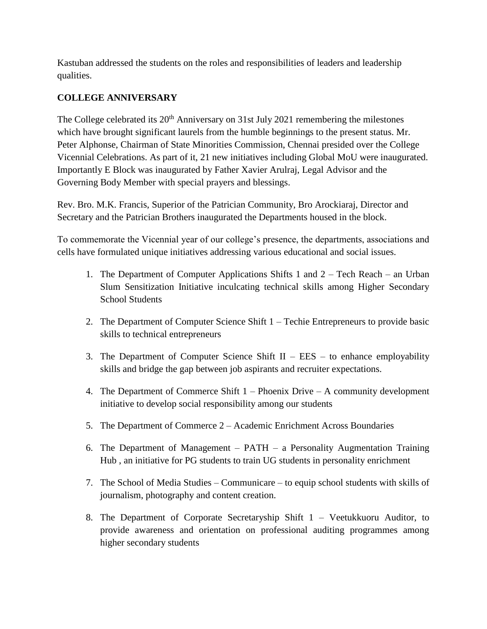Kastuban addressed the students on the roles and responsibilities of leaders and leadership qualities.

### **COLLEGE ANNIVERSARY**

The College celebrated its  $20<sup>th</sup>$  Anniversary on 31st July 2021 remembering the milestones which have brought significant laurels from the humble beginnings to the present status. Mr. Peter Alphonse, Chairman of State Minorities Commission, Chennai presided over the College Vicennial Celebrations. As part of it, 21 new initiatives including Global MoU were inaugurated. Importantly E Block was inaugurated by Father Xavier Arulraj, Legal Advisor and the Governing Body Member with special prayers and blessings.

Rev. Bro. M.K. Francis, Superior of the Patrician Community, Bro Arockiaraj, Director and Secretary and the Patrician Brothers inaugurated the Departments housed in the block.

To commemorate the Vicennial year of our college's presence, the departments, associations and cells have formulated unique initiatives addressing various educational and social issues.

- 1. The Department of Computer Applications Shifts 1 and 2 Tech Reach an Urban Slum Sensitization Initiative inculcating technical skills among Higher Secondary School Students
- 2. The Department of Computer Science Shift 1 Techie Entrepreneurs to provide basic skills to technical entrepreneurs
- 3. The Department of Computer Science Shift  $II EES -$  to enhance employability skills and bridge the gap between job aspirants and recruiter expectations.
- 4. The Department of Commerce Shift 1 Phoenix Drive A community development initiative to develop social responsibility among our students
- 5. The Department of Commerce 2 Academic Enrichment Across Boundaries
- 6. The Department of Management PATH a Personality Augmentation Training Hub , an initiative for PG students to train UG students in personality enrichment
- 7. The School of Media Studies Communicare to equip school students with skills of journalism, photography and content creation.
- 8. The Department of Corporate Secretaryship Shift 1 Veetukkuoru Auditor, to provide awareness and orientation on professional auditing programmes among higher secondary students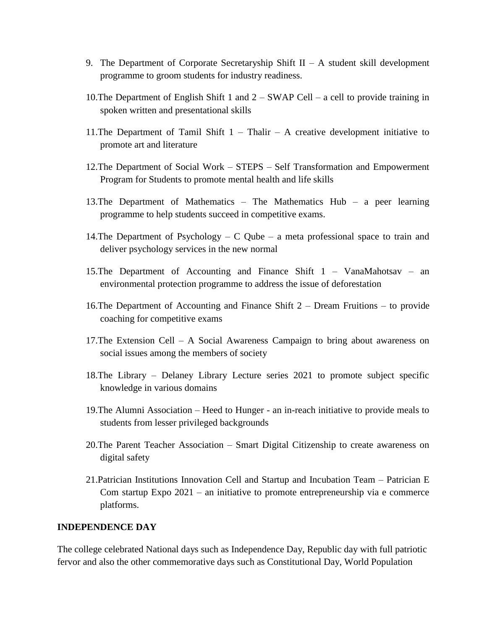- 9. The Department of Corporate Secretaryship Shift  $II A$  student skill development programme to groom students for industry readiness.
- 10.The Department of English Shift 1 and 2 SWAP Cell a cell to provide training in spoken written and presentational skills
- 11. The Department of Tamil Shift  $1 -$  Thalir A creative development initiative to promote art and literature
- 12.The Department of Social Work STEPS Self Transformation and Empowerment Program for Students to promote mental health and life skills
- 13.The Department of Mathematics The Mathematics Hub a peer learning programme to help students succeed in competitive exams.
- 14. The Department of Psychology C Qube a meta professional space to train and deliver psychology services in the new normal
- 15.The Department of Accounting and Finance Shift 1 VanaMahotsav an environmental protection programme to address the issue of deforestation
- 16.The Department of Accounting and Finance Shift 2 Dream Fruitions to provide coaching for competitive exams
- 17.The Extension Cell A Social Awareness Campaign to bring about awareness on social issues among the members of society
- 18.The Library Delaney Library Lecture series 2021 to promote subject specific knowledge in various domains
- 19.The Alumni Association Heed to Hunger an in-reach initiative to provide meals to students from lesser privileged backgrounds
- 20.The Parent Teacher Association Smart Digital Citizenship to create awareness on digital safety
- 21.Patrician Institutions Innovation Cell and Startup and Incubation Team Patrician E Com startup Expo 2021 – an initiative to promote entrepreneurship via e commerce platforms.

#### **INDEPENDENCE DAY**

The college celebrated National days such as Independence Day, Republic day with full patriotic fervor and also the other commemorative days such as Constitutional Day, World Population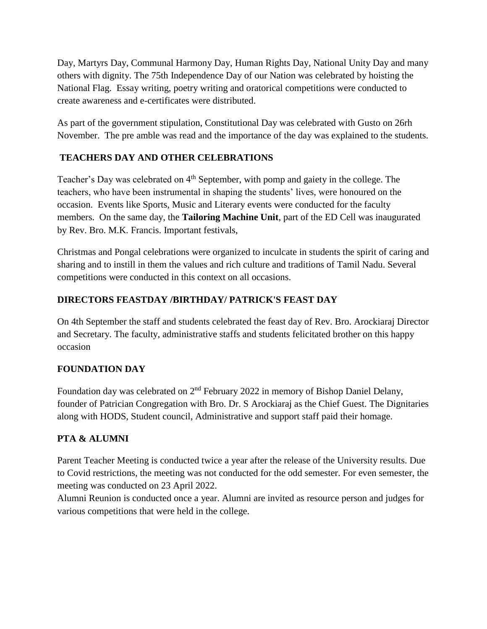Day, Martyrs Day, Communal Harmony Day, Human Rights Day, National Unity Day and many others with dignity. The 75th Independence Day of our Nation was celebrated by hoisting the National Flag. Essay writing, poetry writing and oratorical competitions were conducted to create awareness and e-certificates were distributed.

As part of the government stipulation, Constitutional Day was celebrated with Gusto on 26rh November. The pre amble was read and the importance of the day was explained to the students.

# **TEACHERS DAY AND OTHER CELEBRATIONS**

Teacher's Day was celebrated on 4<sup>th</sup> September, with pomp and gaiety in the college. The teachers, who have been instrumental in shaping the students' lives, were honoured on the occasion. Events like Sports, Music and Literary events were conducted for the faculty members. On the same day, the **Tailoring Machine Unit**, part of the ED Cell was inaugurated by Rev. Bro. M.K. Francis. Important festivals,

Christmas and Pongal celebrations were organized to inculcate in students the spirit of caring and sharing and to instill in them the values and rich culture and traditions of Tamil Nadu. Several competitions were conducted in this context on all occasions.

# **DIRECTORS FEASTDAY /BIRTHDAY/ PATRICK'S FEAST DAY**

On 4th September the staff and students celebrated the feast day of Rev. Bro. Arockiaraj Director and Secretary. The faculty, administrative staffs and students felicitated brother on this happy occasion

# **FOUNDATION DAY**

Foundation day was celebrated on 2nd February 2022 in memory of Bishop Daniel Delany, founder of Patrician Congregation with Bro. Dr. S Arockiaraj as the Chief Guest. The Dignitaries along with HODS, Student council, Administrative and support staff paid their homage.

# **PTA & ALUMNI**

Parent Teacher Meeting is conducted twice a year after the release of the University results. Due to Covid restrictions, the meeting was not conducted for the odd semester. For even semester, the meeting was conducted on 23 April 2022.

Alumni Reunion is conducted once a year. Alumni are invited as resource person and judges for various competitions that were held in the college.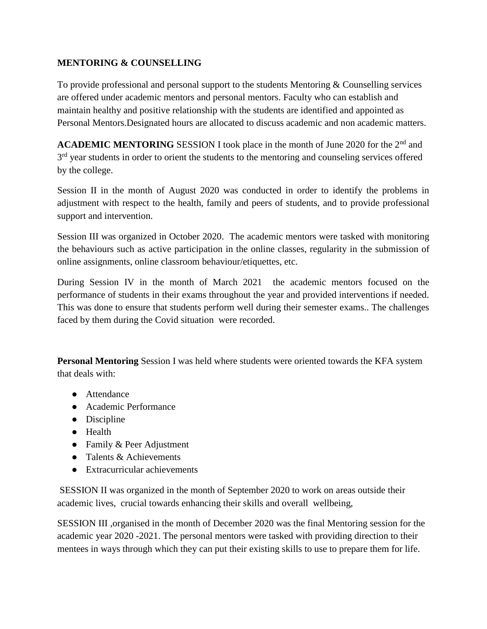### **MENTORING & COUNSELLING**

To provide professional and personal support to the students Mentoring & Counselling services are offered under academic mentors and personal mentors. Faculty who can establish and maintain healthy and positive relationship with the students are identified and appointed as Personal Mentors.Designated hours are allocated to discuss academic and non academic matters.

**ACADEMIC MENTORING** SESSION I took place in the month of June 2020 for the 2<sup>nd</sup> and 3<sup>rd</sup> year students in order to orient the students to the mentoring and counseling services offered by the college.

Session II in the month of August 2020 was conducted in order to identify the problems in adjustment with respect to the health, family and peers of students, and to provide professional support and intervention.

Session III was organized in October 2020. The academic mentors were tasked with monitoring the behaviours such as active participation in the online classes, regularity in the submission of online assignments, online classroom behaviour/etiquettes, etc.

During Session IV in the month of March 2021 the academic mentors focused on the performance of students in their exams throughout the year and provided interventions if needed. This was done to ensure that students perform well during their semester exams.. The challenges faced by them during the Covid situation were recorded.

**Personal Mentoring** Session I was held where students were oriented towards the KFA system that deals with:

- Attendance
- Academic Performance
- Discipline
- Health
- Family & Peer Adjustment
- $\bullet$  Talents & Achievements
- Extracurricular achievements

SESSION II was organized in the month of September 2020 to work on areas outside their academic lives, crucial towards enhancing their skills and overall wellbeing,

SESSION III ,organised in the month of December 2020 was the final Mentoring session for the academic year 2020 -2021. The personal mentors were tasked with providing direction to their mentees in ways through which they can put their existing skills to use to prepare them for life.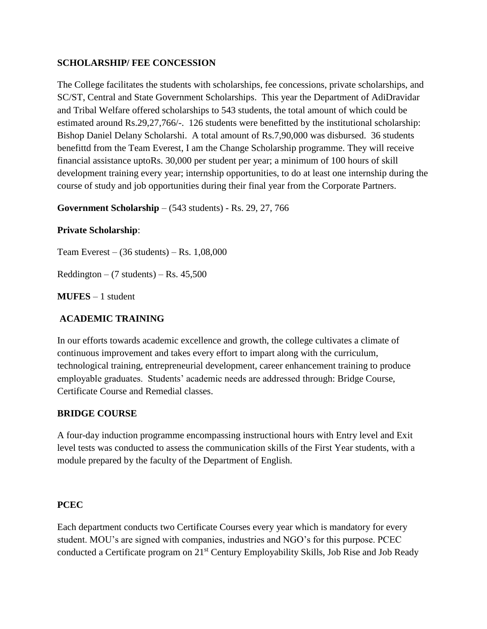#### **SCHOLARSHIP/ FEE CONCESSION**

The College facilitates the students with scholarships, fee concessions, private scholarships, and SC/ST, Central and State Government Scholarships. This year the Department of AdiDravidar and Tribal Welfare offered scholarships to 543 students, the total amount of which could be estimated around Rs.29,27,766/-. 126 students were benefitted by the institutional scholarship: Bishop Daniel Delany Scholarshi. A total amount of Rs.7,90,000 was disbursed. 36 students benefittd from the Team Everest, I am the Change Scholarship programme. They will receive financial assistance uptoRs. 30,000 per student per year; a minimum of 100 hours of skill development training every year; internship opportunities, to do at least one internship during the course of study and job opportunities during their final year from the Corporate Partners.

**Government Scholarship** – (543 students) - Rs. 29, 27, 766

### **Private Scholarship**:

Team Everest –  $(36 \text{ students})$  – Rs. 1,08,000

 $Reddington - (7 students) - Rs. 45,500$ 

**MUFES** – 1 student

#### **ACADEMIC TRAINING**

In our efforts towards academic excellence and growth, the college cultivates a climate of continuous improvement and takes every effort to impart along with the curriculum, technological training, entrepreneurial development, career enhancement training to produce employable graduates. Students' academic needs are addressed through: Bridge Course, Certificate Course and Remedial classes.

#### **BRIDGE COURSE**

A four-day induction programme encompassing instructional hours with Entry level and Exit level tests was conducted to assess the communication skills of the First Year students, with a module prepared by the faculty of the Department of English.

#### **PCEC**

Each department conducts two Certificate Courses every year which is mandatory for every student. MOU's are signed with companies, industries and NGO's for this purpose. PCEC conducted a Certificate program on 21<sup>st</sup> Century Employability Skills, Job Rise and Job Ready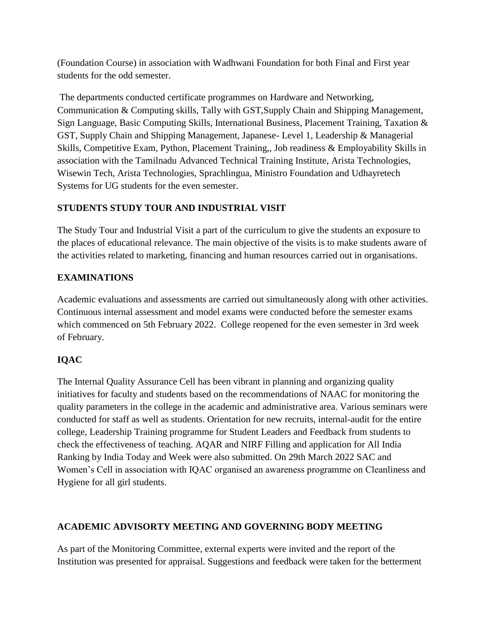(Foundation Course) in association with Wadhwani Foundation for both Final and First year students for the odd semester.

The departments conducted certificate programmes on Hardware and Networking, Communication & Computing skills, Tally with GST,Supply Chain and Shipping Management, Sign Language, Basic Computing Skills, International Business, Placement Training, Taxation & GST, Supply Chain and Shipping Management, Japanese- Level 1, Leadership & Managerial Skills, Competitive Exam, Python, Placement Training,, Job readiness & Employability Skills in association with the Tamilnadu Advanced Technical Training Institute, Arista Technologies, Wisewin Tech, Arista Technologies, Sprachlingua, Ministro Foundation and Udhayretech Systems for UG students for the even semester.

## **STUDENTS STUDY TOUR AND INDUSTRIAL VISIT**

The Study Tour and Industrial Visit a part of the curriculum to give the students an exposure to the places of educational relevance. The main objective of the visits is to make students aware of the activities related to marketing, financing and human resources carried out in organisations.

## **EXAMINATIONS**

Academic evaluations and assessments are carried out simultaneously along with other activities. Continuous internal assessment and model exams were conducted before the semester exams which commenced on 5th February 2022. College reopened for the even semester in 3rd week of February.

# **IQAC**

The Internal Quality Assurance Cell has been vibrant in planning and organizing quality initiatives for faculty and students based on the recommendations of NAAC for monitoring the quality parameters in the college in the academic and administrative area. Various seminars were conducted for staff as well as students. Orientation for new recruits, internal-audit for the entire college, Leadership Training programme for Student Leaders and Feedback from students to check the effectiveness of teaching. AQAR and NIRF Filling and application for All India Ranking by India Today and Week were also submitted. On 29th March 2022 SAC and Women's Cell in association with IQAC organised an awareness programme on Cleanliness and Hygiene for all girl students.

### **ACADEMIC ADVISORTY MEETING AND GOVERNING BODY MEETING**

As part of the Monitoring Committee, external experts were invited and the report of the Institution was presented for appraisal. Suggestions and feedback were taken for the betterment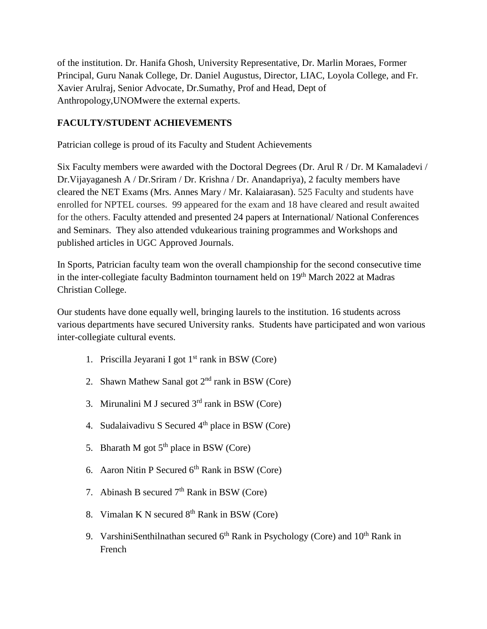of the institution. Dr. Hanifa Ghosh, University Representative, Dr. Marlin Moraes, Former Principal, Guru Nanak College, Dr. Daniel Augustus, Director, LIAC, Loyola College, and Fr. Xavier Arulraj, Senior Advocate, Dr.Sumathy, Prof and Head, Dept of Anthropology,UNOMwere the external experts.

### **FACULTY/STUDENT ACHIEVEMENTS**

Patrician college is proud of its Faculty and Student Achievements

Six Faculty members were awarded with the Doctoral Degrees (Dr. Arul R / Dr. M Kamaladevi / Dr.Vijayaganesh A / Dr.Sriram / Dr. Krishna / Dr. Anandapriya), 2 faculty members have cleared the NET Exams (Mrs. Annes Mary / Mr. Kalaiarasan). 525 Faculty and students have enrolled for NPTEL courses. 99 appeared for the exam and 18 have cleared and result awaited for the others. Faculty attended and presented 24 papers at International/ National Conferences and Seminars. They also attended vdukearious training programmes and Workshops and published articles in UGC Approved Journals.

In Sports, Patrician faculty team won the overall championship for the second consecutive time in the inter-collegiate faculty Badminton tournament held on 19<sup>th</sup> March 2022 at Madras Christian College.

Our students have done equally well, bringing laurels to the institution. 16 students across various departments have secured University ranks. Students have participated and won various inter-collegiate cultural events.

- 1. Priscilla Jeyarani I got  $1<sup>st</sup>$  rank in BSW (Core)
- 2. Shawn Mathew Sanal got  $2<sup>nd</sup>$  rank in BSW (Core)
- 3. Mirunalini M J secured  $3<sup>rd</sup>$  rank in BSW (Core)
- 4. Sudalaivadivu S Secured  $4<sup>th</sup>$  place in BSW (Core)
- 5. Bharath M got  $5<sup>th</sup>$  place in BSW (Core)
- 6. Aaron Nitin P Secured  $6<sup>th</sup>$  Rank in BSW (Core)
- 7. Abinash B secured  $7<sup>th</sup>$  Rank in BSW (Core)
- 8. Vimalan K N secured  $8<sup>th</sup>$  Rank in BSW (Core)
- 9. VarshiniSenthilnathan secured  $6<sup>th</sup>$  Rank in Psychology (Core) and  $10<sup>th</sup>$  Rank in French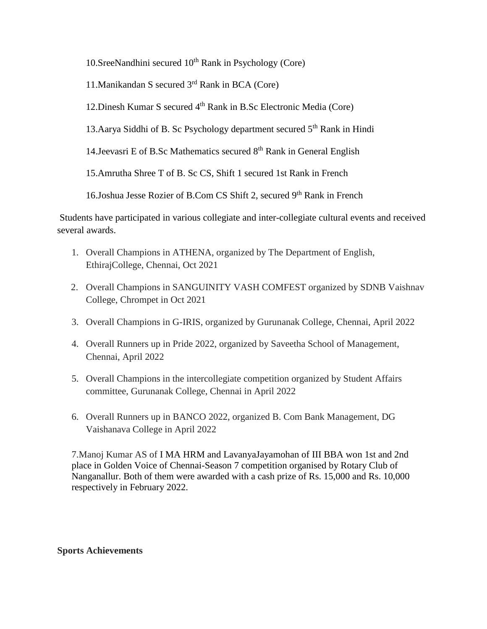10.SreeNandhini secured  $10<sup>th</sup>$  Rank in Psychology (Core)

11.Manikandan S secured 3rd Rank in BCA (Core)

12. Dinesh Kumar S secured 4<sup>th</sup> Rank in B.Sc Electronic Media (Core)

13. Aarya Siddhi of B. Sc Psychology department secured  $5<sup>th</sup>$  Rank in Hindi

14. Jeevasri E of B.Sc Mathematics secured  $8<sup>th</sup>$  Rank in General English

15.Amrutha Shree T of B. Sc CS, Shift 1 secured 1st Rank in French

16.Joshua Jesse Rozier of B.Com CS Shift 2, secured 9<sup>th</sup> Rank in French

Students have participated in various collegiate and inter-collegiate cultural events and received several awards.

- 1. Overall Champions in ATHENA, organized by The Department of English, EthirajCollege, Chennai, Oct 2021
- 2. Overall Champions in SANGUINITY VASH COMFEST organized by SDNB Vaishnav College, Chrompet in Oct 2021
- 3. Overall Champions in G-IRIS, organized by Gurunanak College, Chennai, April 2022
- 4. Overall Runners up in Pride 2022, organized by Saveetha School of Management, Chennai, April 2022
- 5. Overall Champions in the intercollegiate competition organized by Student Affairs committee, Gurunanak College, Chennai in April 2022
- 6. Overall Runners up in BANCO 2022, organized B. Com Bank Management, DG Vaishanava College in April 2022

7.Manoj Kumar AS of I MA HRM and LavanyaJayamohan of III BBA won 1st and 2nd place in Golden Voice of Chennai-Season 7 competition organised by Rotary Club of Nanganallur. Both of them were awarded with a cash prize of Rs. 15,000 and Rs. 10,000 respectively in February 2022.

#### **Sports Achievements**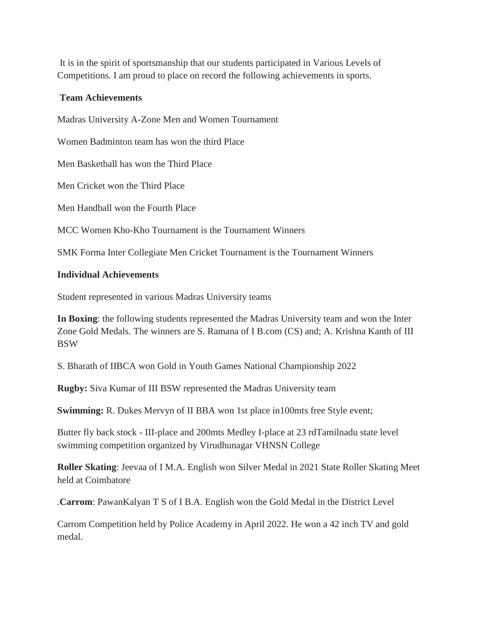It is in the spirit of sportsmanship that our students participated in Various Levels of Competitions. I am proud to place on record the following achievements in sports.

#### **Team Achievements**

Madras University A-Zone Men and Women Tournament

Women Badminton team has won the third Place

Men Basketball has won the Third Place

Men Cricket won the Third Place

Men Handball won the Fourth Place

MCC Women Kho-Kho Tournament is the Tournament Winners

SMK Forma Inter Collegiate Men Cricket Tournament is the Tournament Winners

#### **Individual Achievements**

Student represented in various Madras University teams

**In Boxing**: the following students represented the Madras University team and won the Inter Zone Gold Medals. The winners are S. Ramana of I B.com (CS) and; A. Krishna Kanth of III BSW

S. Bharath of IIBCA won Gold in Youth Games National Championship 2022

**Rugby:** Siva Kumar of III BSW represented the Madras University team

**Swimming: R. Dukes Mervyn of II BBA won 1st place in 100mts free Style event;** 

Butter fly back stock - III-place and 200mts Medley I-place at 23 rdTamilnadu state level swimming competition organized by Virudhunagar VHNSN College

**Roller Skating**: Jeevaa of I M.A. English won Silver Medal in 2021 State Roller Skating Meet held at Coimbatore

.**Carrom**: PawanKalyan T S of I B.A. English won the Gold Medal in the District Level

Carrom Competition held by Police Academy in April 2022. He won a 42 inch TV and gold medal.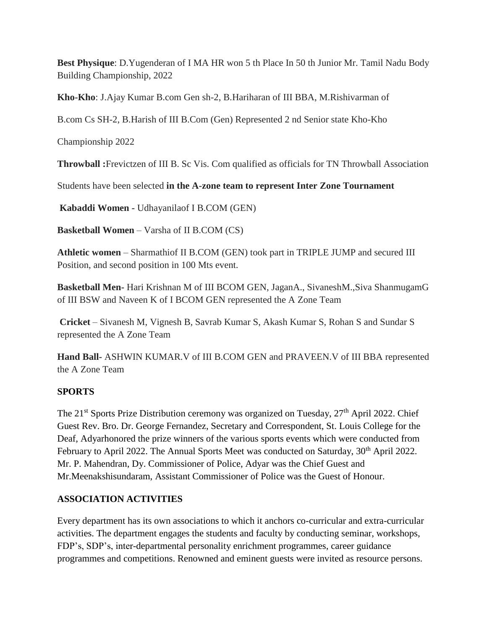**Best Physique**: D.Yugenderan of I MA HR won 5 th Place In 50 th Junior Mr. Tamil Nadu Body Building Championship, 2022

**Kho-Kho**: J.Ajay Kumar B.com Gen sh-2, B.Hariharan of III BBA, M.Rishivarman of

B.com Cs SH-2, B.Harish of III B.Com (Gen) Represented 2 nd Senior state Kho-Kho

Championship 2022

**Throwball :**Frevictzen of III B. Sc Vis. Com qualified as officials for TN Throwball Association

Students have been selected **in the A-zone team to represent Inter Zone Tournament**

**Kabaddi Women -** Udhayanilaof I B.COM (GEN)

**Basketball Women** – Varsha of II B.COM (CS)

**Athletic women** – Sharmathiof II B.COM (GEN) took part in TRIPLE JUMP and secured III Position, and second position in 100 Mts event.

**Basketball Men-** Hari Krishnan M of III BCOM GEN, JaganA., SivaneshM.,Siva ShanmugamG of III BSW and Naveen K of I BCOM GEN represented the A Zone Team

**Cricket** – Sivanesh M, Vignesh B, Savrab Kumar S, Akash Kumar S, Rohan S and Sundar S represented the A Zone Team

**Hand Ball-** ASHWIN KUMAR.V of III B.COM GEN and PRAVEEN.V of III BBA represented the A Zone Team

### **SPORTS**

The 21<sup>st</sup> Sports Prize Distribution ceremony was organized on Tuesday, 27<sup>th</sup> April 2022. Chief Guest Rev. Bro. Dr. George Fernandez, Secretary and Correspondent, St. Louis College for the Deaf, Adyarhonored the prize winners of the various sports events which were conducted from February to April 2022. The Annual Sports Meet was conducted on Saturday, 30<sup>th</sup> April 2022. Mr. P. Mahendran, Dy. Commissioner of Police, Adyar was the Chief Guest and Mr.Meenakshisundaram, Assistant Commissioner of Police was the Guest of Honour.

### **ASSOCIATION ACTIVITIES**

Every department has its own associations to which it anchors co-curricular and extra-curricular activities. The department engages the students and faculty by conducting seminar, workshops, FDP's, SDP's, inter-departmental personality enrichment programmes, career guidance programmes and competitions. Renowned and eminent guests were invited as resource persons.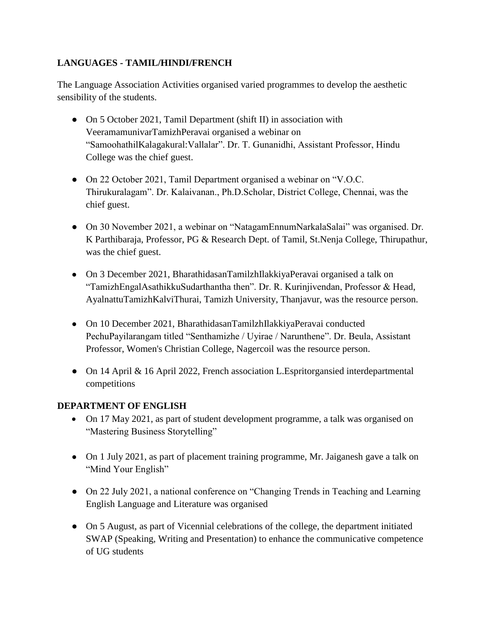### **LANGUAGES - TAMIL/HINDI/FRENCH**

The Language Association Activities organised varied programmes to develop the aesthetic sensibility of the students.

- On 5 October 2021, Tamil Department (shift II) in association with VeeramamunivarTamizhPeravai organised a webinar on "SamoohathilKalagakural:Vallalar". Dr. T. Gunanidhi, Assistant Professor, Hindu College was the chief guest.
- On 22 October 2021, Tamil Department organised a webinar on "V.O.C. Thirukuralagam". Dr. Kalaivanan., Ph.D.Scholar, District College, Chennai, was the chief guest.
- On 30 November 2021, a webinar on "NatagamEnnumNarkalaSalai" was organised. Dr. K Parthibaraja, Professor, PG & Research Dept. of Tamil, St.Nenja College, Thirupathur, was the chief guest.
- On 3 December 2021, BharathidasanTamilzhIlakkiyaPeravai organised a talk on "TamizhEngalAsathikkuSudarthantha then". Dr. R. Kurinjivendan, Professor & Head, AyalnattuTamizhKalviThurai, Tamizh University, Thanjavur, was the resource person.
- On 10 December 2021, BharathidasanTamilzhIlakkiyaPeravai conducted PechuPayilarangam titled "Senthamizhe / Uyirae / Narunthene". Dr. Beula, Assistant Professor, Women's Christian College, Nagercoil was the resource person.
- On 14 April & 16 April 2022, French association L.Espritorgansied interdepartmental competitions

### **DEPARTMENT OF ENGLISH**

- On 17 May 2021, as part of student development programme, a talk was organised on "Mastering Business Storytelling"
- On 1 July 2021, as part of placement training programme, Mr. Jaiganesh gave a talk on "Mind Your English"
- On 22 July 2021, a national conference on "Changing Trends in Teaching and Learning English Language and Literature was organised
- On 5 August, as part of Vicennial celebrations of the college, the department initiated SWAP (Speaking, Writing and Presentation) to enhance the communicative competence of UG students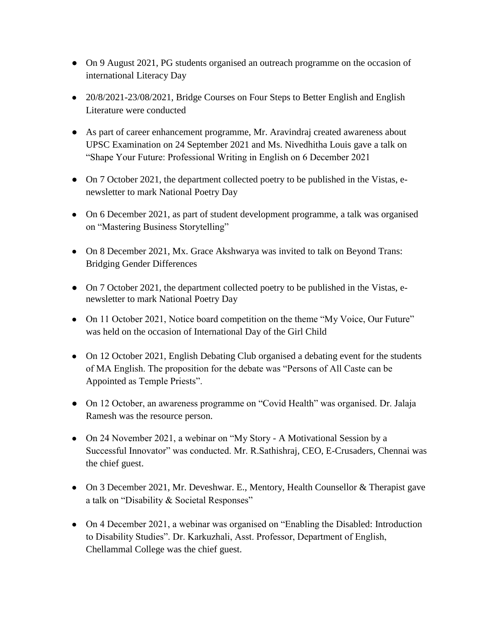- On 9 August 2021, PG students organised an outreach programme on the occasion of international Literacy Day
- 20/8/2021-23/08/2021, Bridge Courses on Four Steps to Better English and English Literature were conducted
- As part of career enhancement programme, Mr. Aravindraj created awareness about UPSC Examination on 24 September 2021 and Ms. Nivedhitha Louis gave a talk on "Shape Your Future: Professional Writing in English on 6 December 2021
- On 7 October 2021, the department collected poetry to be published in the Vistas, enewsletter to mark National Poetry Day
- On 6 December 2021, as part of student development programme, a talk was organised on "Mastering Business Storytelling"
- On 8 December 2021, Mx. Grace Akshwarya was invited to talk on Beyond Trans: Bridging Gender Differences
- On 7 October 2021, the department collected poetry to be published in the Vistas, enewsletter to mark National Poetry Day
- On 11 October 2021, Notice board competition on the theme "My Voice, Our Future" was held on the occasion of International Day of the Girl Child
- On 12 October 2021, English Debating Club organised a debating event for the students of MA English. The proposition for the debate was "Persons of All Caste can be Appointed as Temple Priests".
- On 12 October, an awareness programme on "Covid Health" was organised. Dr. Jalaja Ramesh was the resource person.
- On 24 November 2021, a webinar on "My Story A Motivational Session by a Successful Innovator" was conducted. Mr. R.Sathishraj, CEO, E-Crusaders, Chennai was the chief guest.
- On 3 December 2021, Mr. Deveshwar. E., Mentory, Health Counsellor & Therapist gave a talk on "Disability & Societal Responses"
- On 4 December 2021, a webinar was organised on "Enabling the Disabled: Introduction to Disability Studies". Dr. Karkuzhali, Asst. Professor, Department of English, Chellammal College was the chief guest.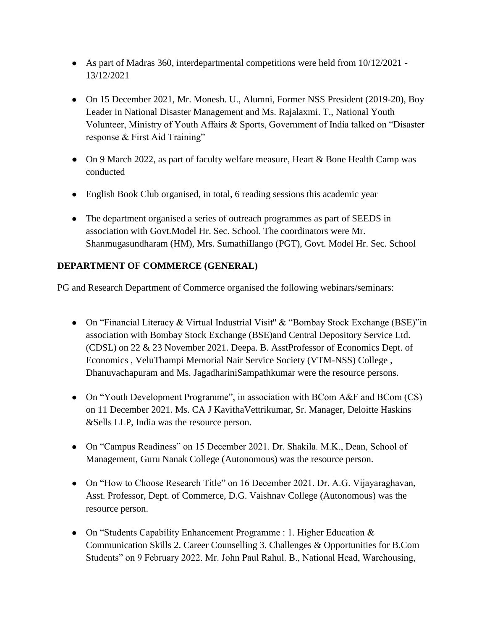- As part of Madras 360, interdepartmental competitions were held from  $10/12/2021$  -13/12/2021
- On 15 December 2021, Mr. Monesh. U., Alumni, Former NSS President (2019-20), Boy Leader in National Disaster Management and Ms. Rajalaxmi. T., National Youth Volunteer, Ministry of Youth Affairs & Sports, Government of India talked on "Disaster response & First Aid Training"
- On 9 March 2022, as part of faculty welfare measure, Heart & Bone Health Camp was conducted
- English Book Club organised, in total, 6 reading sessions this academic year
- The department organised a series of outreach programmes as part of SEEDS in association with Govt.Model Hr. Sec. School. The coordinators were Mr. Shanmugasundharam (HM), Mrs. SumathiIlango (PGT), Govt. Model Hr. Sec. School

## **DEPARTMENT OF COMMERCE (GENERAL)**

PG and Research Department of Commerce organised the following webinars/seminars:

- On "Financial Literacy & Virtual Industrial Visit" & "Bombay Stock Exchange (BSE)"in association with Bombay Stock Exchange (BSE)and Central Depository Service Ltd. (CDSL) on 22 & 23 November 2021. Deepa. B. AsstProfessor of Economics Dept. of Economics , VeluThampi Memorial Nair Service Society (VTM-NSS) College , Dhanuvachapuram and Ms. JagadhariniSampathkumar were the resource persons.
- On "Youth Development Programme", in association with BCom A&F and BCom (CS) on 11 December 2021. Ms. CA J KavithaVettrikumar, Sr. Manager, Deloitte Haskins &Sells LLP, India was the resource person.
- On "Campus Readiness" on 15 December 2021. Dr. Shakila. M.K., Dean, School of Management, Guru Nanak College (Autonomous) was the resource person.
- On "How to Choose Research Title" on 16 December 2021. Dr. A.G. Vijayaraghavan, Asst. Professor, Dept. of Commerce, D.G. Vaishnav College (Autonomous) was the resource person.
- On "Students Capability Enhancement Programme : 1. Higher Education & Communication Skills 2. Career Counselling 3. Challenges & Opportunities for B.Com Students" on 9 February 2022. Mr. John Paul Rahul. B., National Head, Warehousing,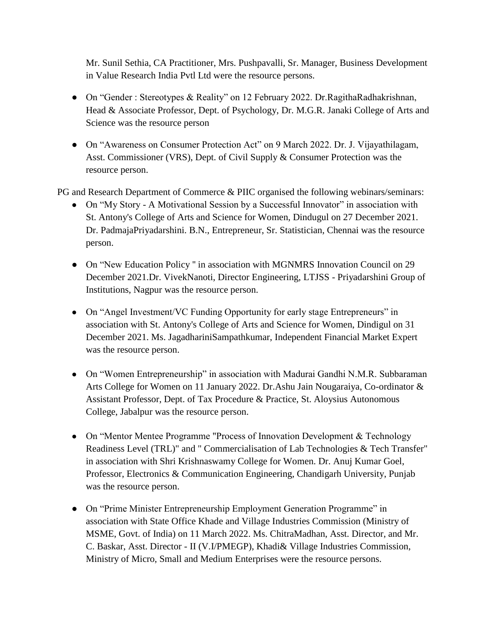Mr. Sunil Sethia, CA Practitioner, Mrs. Pushpavalli, Sr. Manager, Business Development in Value Research India Pvtl Ltd were the resource persons.

- On "Gender : Stereotypes & Reality" on 12 February 2022. Dr.RagithaRadhakrishnan, Head & Associate Professor, Dept. of Psychology, Dr. M.G.R. Janaki College of Arts and Science was the resource person
- On "Awareness on Consumer Protection Act" on 9 March 2022. Dr. J. Vijayathilagam, Asst. Commissioner (VRS), Dept. of Civil Supply & Consumer Protection was the resource person.

PG and Research Department of Commerce & PIIC organised the following webinars/seminars:

- On "My Story A Motivational Session by a Successful Innovator" in association with St. Antony's College of Arts and Science for Women, Dindugul on 27 December 2021. Dr. PadmajaPriyadarshini. B.N., Entrepreneur, Sr. Statistician, Chennai was the resource person.
- On "New Education Policy" in association with MGNMRS Innovation Council on 29 December 2021.Dr. VivekNanoti, Director Engineering, LTJSS - Priyadarshini Group of Institutions, Nagpur was the resource person.
- On "Angel Investment/VC Funding Opportunity for early stage Entrepreneurs" in association with St. Antony's College of Arts and Science for Women, Dindigul on 31 December 2021. Ms. JagadhariniSampathkumar, Independent Financial Market Expert was the resource person.
- On "Women Entrepreneurship" in association with Madurai Gandhi N.M.R. Subbaraman Arts College for Women on 11 January 2022. Dr.Ashu Jain Nougaraiya, Co-ordinator & Assistant Professor, Dept. of Tax Procedure & Practice, St. Aloysius Autonomous College, Jabalpur was the resource person.
- On "Mentor Mentee Programme "Process of Innovation Development & Technology Readiness Level (TRL)" and " Commercialisation of Lab Technologies & Tech Transfer" in association with Shri Krishnaswamy College for Women. Dr. Anuj Kumar Goel, Professor, Electronics & Communication Engineering, Chandigarh University, Punjab was the resource person.
- On "Prime Minister Entrepreneurship Employment Generation Programme" in association with State Office Khade and Village Industries Commission (Ministry of MSME, Govt. of India) on 11 March 2022. Ms. ChitraMadhan, Asst. Director, and Mr. C. Baskar, Asst. Director - II (V.I/PMEGP), Khadi& Village Industries Commission, Ministry of Micro, Small and Medium Enterprises were the resource persons.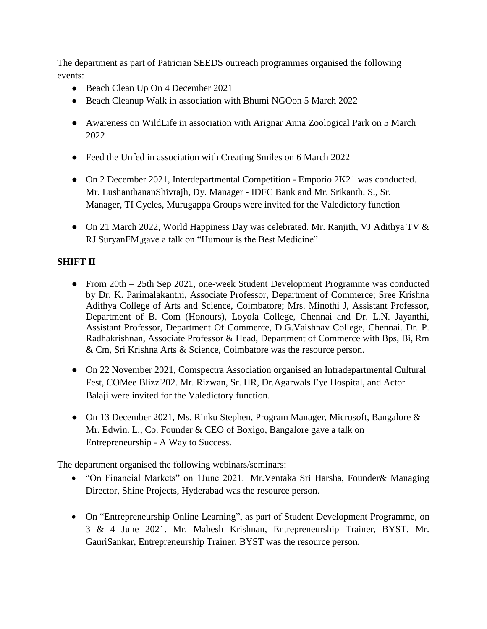The department as part of Patrician SEEDS outreach programmes organised the following events:

- Beach Clean Up On 4 December 2021
- Beach Cleanup Walk in association with Bhumi NGOon 5 March 2022
- Awareness on WildLife in association with Arignar Anna Zoological Park on 5 March 2022
- Feed the Unfed in association with Creating Smiles on 6 March 2022
- On 2 December 2021, Interdepartmental Competition Emporio 2K21 was conducted. Mr. LushanthananShivrajh, Dy. Manager - IDFC Bank and Mr. Srikanth. S., Sr. Manager, TI Cycles, Murugappa Groups were invited for the Valedictory function
- On 21 March 2022, World Happiness Day was celebrated. Mr. Ranjith, VJ Adithya TV & RJ SuryanFM,gave a talk on "Humour is the Best Medicine".

## **SHIFT II**

- From 20th 25th Sep 2021, one-week Student Development Programme was conducted by Dr. K. Parimalakanthi, Associate Professor, Department of Commerce; Sree Krishna Adithya College of Arts and Science, Coimbatore; Mrs. Minothi J, Assistant Professor, Department of B. Com (Honours), Loyola College, Chennai and Dr. L.N. Jayanthi, Assistant Professor, Department Of Commerce, D.G.Vaishnav College, Chennai. Dr. P. Radhakrishnan, Associate Professor & Head, Department of Commerce with Bps, Bi, Rm & Cm, Sri Krishna Arts & Science, Coimbatore was the resource person.
- On 22 November 2021, Comspectra Association organised an Intradepartmental Cultural Fest, COMee Blizz'202. Mr. Rizwan, Sr. HR, Dr.Agarwals Eye Hospital, and Actor Balaji were invited for the Valedictory function.
- On 13 December 2021, Ms. Rinku Stephen, Program Manager, Microsoft, Bangalore & Mr. Edwin. L., Co. Founder & CEO of Boxigo, Bangalore gave a talk on Entrepreneurship - A Way to Success.

The department organised the following webinars/seminars:

- "On Financial Markets" on 1June 2021. Mr.Ventaka Sri Harsha, Founder& Managing Director, Shine Projects, Hyderabad was the resource person.
- On "Entrepreneurship Online Learning", as part of Student Development Programme, on 3 & 4 June 2021. Mr. Mahesh Krishnan, Entrepreneurship Trainer, BYST. Mr. GauriSankar, Entrepreneurship Trainer, BYST was the resource person.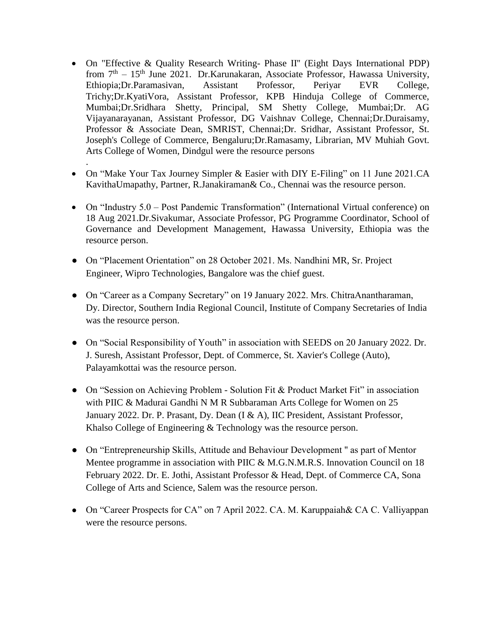- On "Effective & Quality Research Writing- Phase II'' (Eight Days International PDP) from  $7<sup>th</sup> - 15<sup>th</sup>$  June 2021. Dr.Karunakaran, Associate Professor, Hawassa University, Ethiopia;Dr.Paramasivan, Assistant Professor, Periyar EVR College, Trichy;Dr.KyatiVora, Assistant Professor, KPB Hinduja College of Commerce, Mumbai;Dr.Sridhara Shetty, Principal, SM Shetty College, Mumbai;Dr. AG Vijayanarayanan, Assistant Professor, DG Vaishnav College, Chennai;Dr.Duraisamy, Professor & Associate Dean, SMRIST, Chennai;Dr. Sridhar, Assistant Professor, St. Joseph's College of Commerce, Bengaluru;Dr.Ramasamy, Librarian, MV Muhiah Govt. Arts College of Women, Dindgul were the resource persons
- On "Make Your Tax Journey Simpler & Easier with DIY E-Filing" on 11 June 2021.CA KavithaUmapathy, Partner, R.Janakiraman& Co., Chennai was the resource person.
- On "Industry 5.0 Post Pandemic Transformation" (International Virtual conference) on 18 Aug 2021.Dr.Sivakumar, Associate Professor, PG Programme Coordinator, School of Governance and Development Management, Hawassa University, Ethiopia was the resource person.
- On "Placement Orientation" on 28 October 2021. Ms. Nandhini MR, Sr. Project Engineer, Wipro Technologies, Bangalore was the chief guest.

.

- On "Career as a Company Secretary" on 19 January 2022. Mrs. ChitraAnantharaman, Dy. Director, Southern India Regional Council, Institute of Company Secretaries of India was the resource person.
- On "Social Responsibility of Youth" in association with SEEDS on 20 January 2022. Dr. J. Suresh, Assistant Professor, Dept. of Commerce, St. Xavier's College (Auto), Palayamkottai was the resource person.
- On "Session on Achieving Problem Solution Fit & Product Market Fit" in association with PIIC & Madurai Gandhi N M R Subbaraman Arts College for Women on 25 January 2022. Dr. P. Prasant, Dy. Dean (I & A), IIC President, Assistant Professor, Khalso College of Engineering & Technology was the resource person.
- On "Entrepreneurship Skills, Attitude and Behaviour Development '' as part of Mentor Mentee programme in association with PIIC & M.G.N.M.R.S. Innovation Council on 18 February 2022. Dr. E. Jothi, Assistant Professor & Head, Dept. of Commerce CA, Sona College of Arts and Science, Salem was the resource person.
- On "Career Prospects for CA" on 7 April 2022. CA. M. Karuppaiah& CA C. Valliyappan were the resource persons.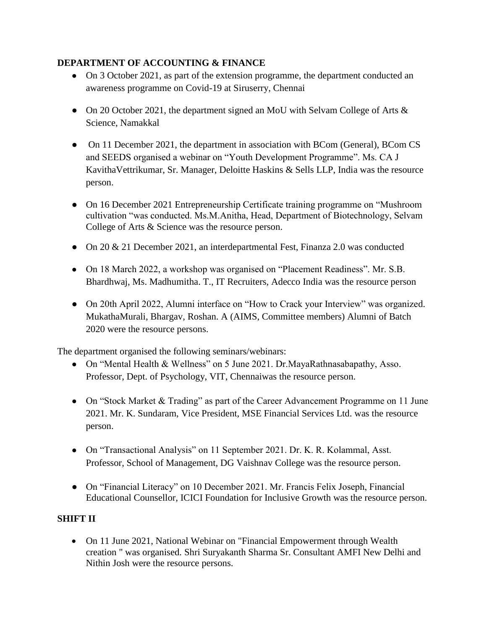### **DEPARTMENT OF ACCOUNTING & FINANCE**

- On 3 October 2021, as part of the extension programme, the department conducted an awareness programme on Covid-19 at Siruserry, Chennai
- On 20 October 2021, the department signed an MoU with Selvam College of Arts  $\&$ Science, Namakkal
- On 11 December 2021, the department in association with BCom (General), BCom CS and SEEDS organised a webinar on "Youth Development Programme". Ms. CA J KavithaVettrikumar, Sr. Manager, Deloitte Haskins & Sells LLP, India was the resource person.
- On 16 December 2021 Entrepreneurship Certificate training programme on "Mushroom" cultivation "was conducted. Ms.M.Anitha, Head, Department of Biotechnology, Selvam College of Arts & Science was the resource person.
- On 20 & 21 December 2021, an interdepartmental Fest, Finanza 2.0 was conducted
- On 18 March 2022, a workshop was organised on "Placement Readiness". Mr. S.B. Bhardhwaj, Ms. Madhumitha. T., IT Recruiters, Adecco India was the resource person
- On 20th April 2022, Alumni interface on "How to Crack your Interview" was organized. MukathaMurali, Bhargav, Roshan. A (AIMS, Committee members) Alumni of Batch 2020 were the resource persons.

The department organised the following seminars/webinars:

- On "Mental Health & Wellness" on 5 June 2021. Dr.MayaRathnasabapathy, Asso. Professor, Dept. of Psychology, VIT, Chennaiwas the resource person.
- On "Stock Market & Trading" as part of the Career Advancement Programme on 11 June 2021. Mr. K. Sundaram, Vice President, MSE Financial Services Ltd. was the resource person.
- On "Transactional Analysis" on 11 September 2021. Dr. K. R. Kolammal, Asst. Professor, School of Management, DG Vaishnav College was the resource person.
- On "Financial Literacy" on 10 December 2021. Mr. Francis Felix Joseph, Financial Educational Counsellor, ICICI Foundation for Inclusive Growth was the resource person.

### **SHIFT II**

 On 11 June 2021, National Webinar on "Financial Empowerment through Wealth creation " was organised. Shri Suryakanth Sharma Sr. Consultant AMFI New Delhi and Nithin Josh were the resource persons.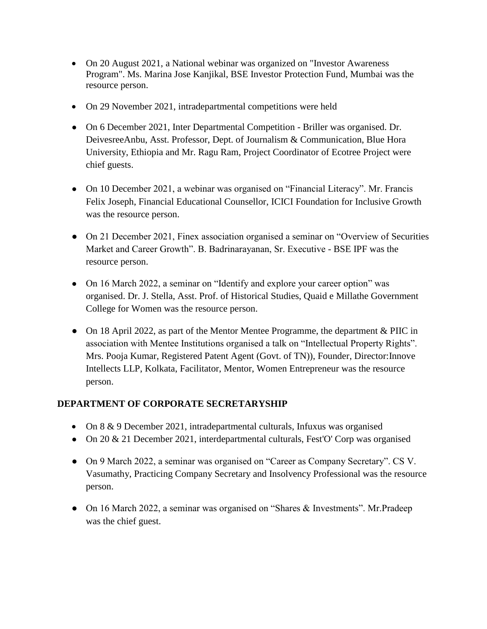- On 20 August 2021, a National webinar was organized on "Investor Awareness Program". Ms. Marina Jose Kanjikal, BSE Investor Protection Fund, Mumbai was the resource person.
- On 29 November 2021, intradepartmental competitions were held
- On 6 December 2021, Inter Departmental Competition Briller was organised. Dr. DeivesreeAnbu, Asst. Professor, Dept. of Journalism & Communication, Blue Hora University, Ethiopia and Mr. Ragu Ram, Project Coordinator of Ecotree Project were chief guests.
- On 10 December 2021, a webinar was organised on "Financial Literacy". Mr. Francis Felix Joseph, Financial Educational Counsellor, ICICI Foundation for Inclusive Growth was the resource person.
- On 21 December 2021, Finex association organised a seminar on "Overview of Securities" Market and Career Growth". B. Badrinarayanan, Sr. Executive - BSE IPF was the resource person.
- On 16 March 2022, a seminar on "Identify and explore your career option" was organised. Dr. J. Stella, Asst. Prof. of Historical Studies, Quaid e Millathe Government College for Women was the resource person.
- On 18 April 2022, as part of the Mentor Mentee Programme, the department & PIIC in association with Mentee Institutions organised a talk on "Intellectual Property Rights". Mrs. Pooja Kumar, Registered Patent Agent (Govt. of TN)), Founder, Director:Innove Intellects LLP, Kolkata, Facilitator, Mentor, Women Entrepreneur was the resource person.

### **DEPARTMENT OF CORPORATE SECRETARYSHIP**

- On 8 & 9 December 2021, intradepartmental culturals, Infuxus was organised
- On 20 & 21 December 2021, interdepartmental culturals, Fest'O' Corp was organised
- On 9 March 2022, a seminar was organised on "Career as Company Secretary". CS V. Vasumathy, Practicing Company Secretary and Insolvency Professional was the resource person.
- On 16 March 2022, a seminar was organised on "Shares & Investments". Mr.Pradeep was the chief guest.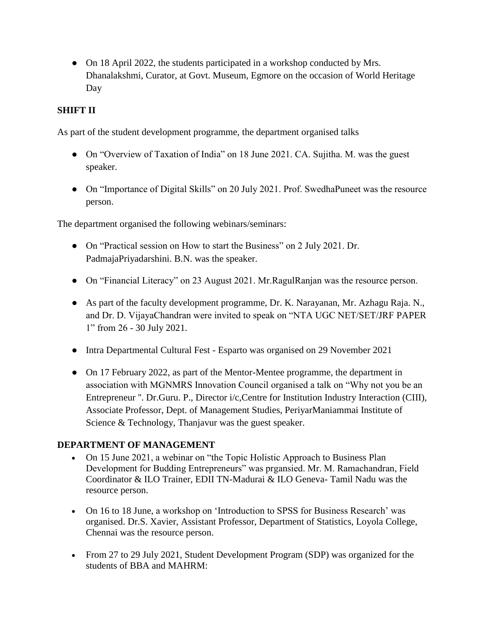• On 18 April 2022, the students participated in a workshop conducted by Mrs. Dhanalakshmi, Curator, at Govt. Museum, Egmore on the occasion of World Heritage Day

### **SHIFT II**

As part of the student development programme, the department organised talks

- On "Overview of Taxation of India" on 18 June 2021. CA. Sujitha. M. was the guest speaker.
- On "Importance of Digital Skills" on 20 July 2021. Prof. SwedhaPuneet was the resource person.

The department organised the following webinars/seminars:

- On "Practical session on How to start the Business" on 2 July 2021. Dr. PadmajaPriyadarshini. B.N. was the speaker.
- On "Financial Literacy" on 23 August 2021. Mr.RagulRanjan was the resource person.
- As part of the faculty development programme, Dr. K. Narayanan, Mr. Azhagu Raja. N., and Dr. D. VijayaChandran were invited to speak on "NTA UGC NET/SET/JRF PAPER 1" from 26 - 30 July 2021.
- Intra Departmental Cultural Fest Esparto was organised on 29 November 2021
- On 17 February 2022, as part of the Mentor-Mentee programme, the department in association with MGNMRS Innovation Council organised a talk on "Why not you be an Entrepreneur ''. Dr.Guru. P., Director i/c,Centre for Institution Industry Interaction (CIII), Associate Professor, Dept. of Management Studies, PeriyarManiammai Institute of Science & Technology, Thanjavur was the guest speaker.

#### **DEPARTMENT OF MANAGEMENT**

- On 15 June 2021, a webinar on "the Topic Holistic Approach to Business Plan Development for Budding Entrepreneurs" was prgansied. Mr. M. Ramachandran, Field Coordinator & ILO Trainer, EDII TN-Madurai & ILO Geneva- Tamil Nadu was the resource person.
- On 16 to 18 June, a workshop on 'Introduction to SPSS for Business Research' was organised. Dr.S. Xavier, Assistant Professor, Department of Statistics, Loyola College, Chennai was the resource person.
- From 27 to 29 July 2021, Student Development Program (SDP) was organized for the students of BBA and MAHRM: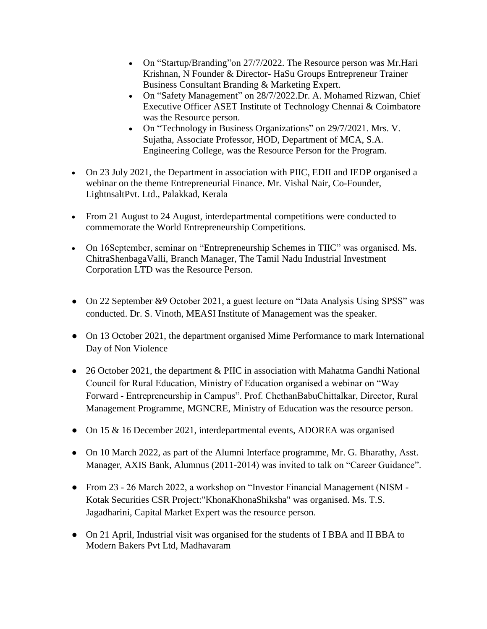- On "Startup/Branding" on 27/7/2022. The Resource person was Mr. Hari Krishnan, N Founder & Director- HaSu Groups Entrepreneur Trainer Business Consultant Branding & Marketing Expert.
- On "Safety Management" on 28/7/2022.Dr. A. Mohamed Rizwan, Chief Executive Officer ASET Institute of Technology Chennai & Coimbatore was the Resource person.
- On "Technology in Business Organizations" on 29/7/2021. Mrs. V. Sujatha, Associate Professor, HOD, Department of MCA, S.A. Engineering College, was the Resource Person for the Program.
- On 23 July 2021, the Department in association with PIIC, EDII and IEDP organised a webinar on the theme Entrepreneurial Finance. Mr. Vishal Nair, Co-Founder, LightnsaltPvt. Ltd., Palakkad, Kerala
- From 21 August to 24 August, interdepartmental competitions were conducted to commemorate the World Entrepreneurship Competitions.
- On 16September, seminar on "Entrepreneurship Schemes in TIIC" was organised. Ms. ChitraShenbagaValli, Branch Manager, The Tamil Nadu Industrial Investment Corporation LTD was the Resource Person.
- On 22 September &9 October 2021, a guest lecture on "Data Analysis Using SPSS" was conducted. Dr. S. Vinoth, MEASI Institute of Management was the speaker.
- On 13 October 2021, the department organised Mime Performance to mark International Day of Non Violence
- 26 October 2021, the department & PIIC in association with Mahatma Gandhi National Council for Rural Education, Ministry of Education organised a webinar on "Way Forward - Entrepreneurship in Campus". Prof. ChethanBabuChittalkar, Director, Rural Management Programme, MGNCRE, Ministry of Education was the resource person.
- On 15 & 16 December 2021, interdepartmental events, ADOREA was organised
- On 10 March 2022, as part of the Alumni Interface programme, Mr. G. Bharathy, Asst. Manager, AXIS Bank, Alumnus (2011-2014) was invited to talk on "Career Guidance".
- From 23 26 March 2022, a workshop on "Investor Financial Management (NISM Kotak Securities CSR Project:"KhonaKhonaShiksha" was organised. Ms. T.S. Jagadharini, Capital Market Expert was the resource person.
- On 21 April, Industrial visit was organised for the students of IBBA and II BBA to Modern Bakers Pvt Ltd, Madhavaram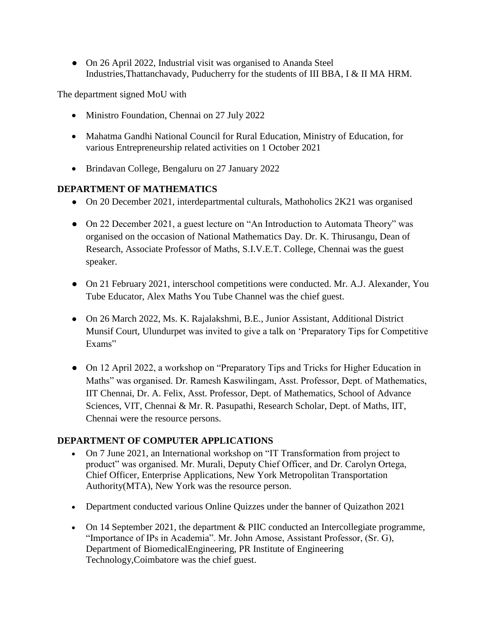• On 26 April 2022, Industrial visit was organised to Ananda Steel Industries,Thattanchavady, Puducherry for the students of III BBA, I & II MA HRM.

The department signed MoU with

- Ministro Foundation, Chennai on 27 July 2022
- Mahatma Gandhi National Council for Rural Education, Ministry of Education, for various Entrepreneurship related activities on 1 October 2021
- Brindavan College, Bengaluru on 27 January 2022

#### **DEPARTMENT OF MATHEMATICS**

- On 20 December 2021, interdepartmental culturals, Mathoholics 2K21 was organised
- On 22 December 2021, a guest lecture on "An Introduction to Automata Theory" was organised on the occasion of National Mathematics Day. Dr. K. Thirusangu, Dean of Research, Associate Professor of Maths, S.I.V.E.T. College, Chennai was the guest speaker.
- On 21 February 2021, interschool competitions were conducted. Mr. A.J. Alexander, You Tube Educator, Alex Maths You Tube Channel was the chief guest.
- On 26 March 2022, Ms. K. Rajalakshmi, B.E., Junior Assistant, Additional District Munsif Court, Ulundurpet was invited to give a talk on 'Preparatory Tips for Competitive Exams"
- On 12 April 2022, a workshop on "Preparatory Tips and Tricks for Higher Education in Maths" was organised. Dr. Ramesh Kaswilingam, Asst. Professor, Dept. of Mathematics, IIT Chennai, Dr. A. Felix, Asst. Professor, Dept. of Mathematics, School of Advance Sciences, VIT, Chennai & Mr. R. Pasupathi, Research Scholar, Dept. of Maths, IIT, Chennai were the resource persons.

#### **DEPARTMENT OF COMPUTER APPLICATIONS**

- On 7 June 2021, an International workshop on "IT Transformation from project to product" was organised. Mr. Murali, Deputy Chief Officer, and Dr. Carolyn Ortega, Chief Officer, Enterprise Applications, New York Metropolitan Transportation Authority(MTA), New York was the resource person.
- Department conducted various Online Quizzes under the banner of Quizathon 2021
- On 14 September 2021, the department & PIIC conducted an Intercollegiate programme, "Importance of IPs in Academia". Mr. John Amose, Assistant Professor, (Sr. G), Department of BiomedicalEngineering, PR Institute of Engineering Technology,Coimbatore was the chief guest.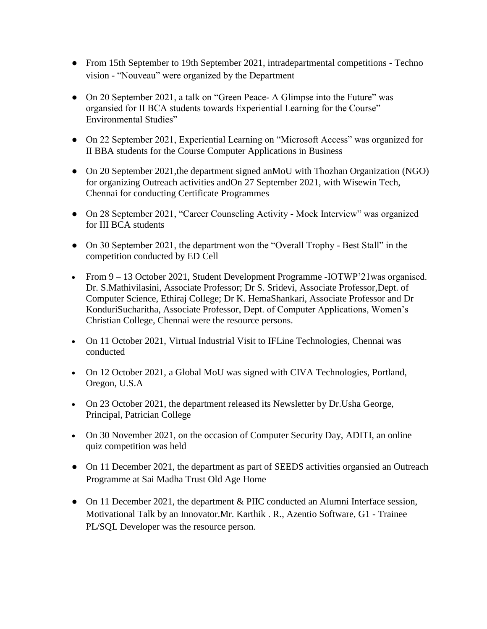- From 15th September to 19th September 2021, intradepartmental competitions Techno vision - "Nouveau" were organized by the Department
- On 20 September 2021, a talk on "Green Peace- A Glimpse into the Future" was organsied for II BCA students towards Experiential Learning for the Course" Environmental Studies"
- On 22 September 2021, Experiential Learning on "Microsoft Access" was organized for II BBA students for the Course Computer Applications in Business
- On 20 September 2021, the department signed an MoU with Thozhan Organization (NGO) for organizing Outreach activities andOn 27 September 2021, with Wisewin Tech, Chennai for conducting Certificate Programmes
- On 28 September 2021, "Career Counseling Activity Mock Interview" was organized for III BCA students
- On 30 September 2021, the department won the "Overall Trophy Best Stall" in the competition conducted by ED Cell
- From 9 13 October 2021, Student Development Programme -IOTWP'21was organised. Dr. S.Mathivilasini, Associate Professor; Dr S. Sridevi, Associate Professor,Dept. of Computer Science, Ethiraj College; Dr K. HemaShankari, Associate Professor and Dr KonduriSucharitha, Associate Professor, Dept. of Computer Applications, Women's Christian College, Chennai were the resource persons.
- On 11 October 2021, Virtual Industrial Visit to IFLine Technologies, Chennai was conducted
- On 12 October 2021, a Global MoU was signed with CIVA Technologies, Portland, Oregon, U.S.A
- On 23 October 2021, the department released its Newsletter by Dr. Usha George, Principal, Patrician College
- On 30 November 2021, on the occasion of Computer Security Day, ADITI, an online quiz competition was held
- On 11 December 2021, the department as part of SEEDS activities organsied an Outreach Programme at Sai Madha Trust Old Age Home
- On 11 December 2021, the department & PIIC conducted an Alumni Interface session, Motivational Talk by an Innovator.Mr. Karthik . R., Azentio Software, G1 - Trainee PL/SQL Developer was the resource person.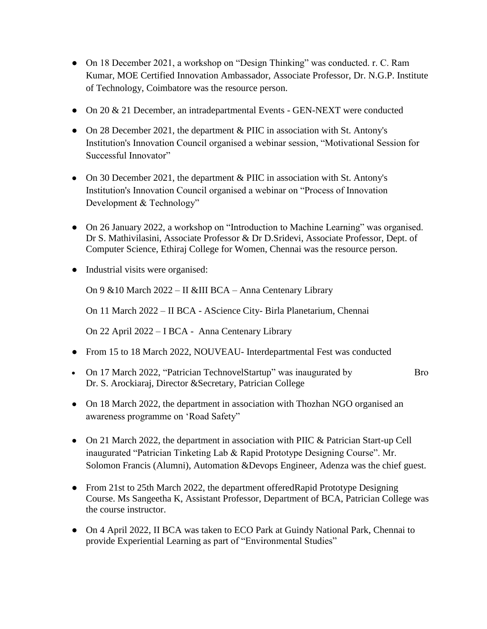- On 18 December 2021, a workshop on "Design Thinking" was conducted. r. C. Ram Kumar, MOE Certified Innovation Ambassador, Associate Professor, Dr. N.G.P. Institute of Technology, Coimbatore was the resource person.
- On 20 & 21 December, an intradepartmental Events GEN-NEXT were conducted
- On 28 December 2021, the department & PIIC in association with St. Antony's Institution's Innovation Council organised a webinar session, "Motivational Session for Successful Innovator"
- On 30 December 2021, the department  $&$  PIIC in association with St. Antony's Institution's Innovation Council organised a webinar on "Process of Innovation Development & Technology"
- On 26 January 2022, a workshop on "Introduction to Machine Learning" was organised. Dr S. Mathivilasini, Associate Professor & Dr D.Sridevi, Associate Professor, Dept. of Computer Science, Ethiraj College for Women, Chennai was the resource person.
- Industrial visits were organised:

On 9 &10 March 2022 – II &III BCA – Anna Centenary Library

On 11 March 2022 – II BCA - AScience City- Birla Planetarium, Chennai

On 22 April 2022 – I BCA - Anna Centenary Library

- From 15 to 18 March 2022, NOUVEAU- Interdepartmental Fest was conducted
- On 17 March 2022, "Patrician TechnovelStartup" was inaugurated by Bro Dr. S. Arockiaraj, Director &Secretary, Patrician College
- On 18 March 2022, the department in association with Thozhan NGO organised an awareness programme on 'Road Safety"
- On 21 March 2022, the department in association with PIIC & Patrician Start-up Cell inaugurated "Patrician Tinketing Lab & Rapid Prototype Designing Course". Mr. Solomon Francis (Alumni), Automation &Devops Engineer, Adenza was the chief guest.
- From 21st to 25th March 2022, the department offeredRapid Prototype Designing Course. Ms Sangeetha K, Assistant Professor, Department of BCA, Patrician College was the course instructor.
- On 4 April 2022, II BCA was taken to ECO Park at Guindy National Park, Chennai to provide Experiential Learning as part of "Environmental Studies"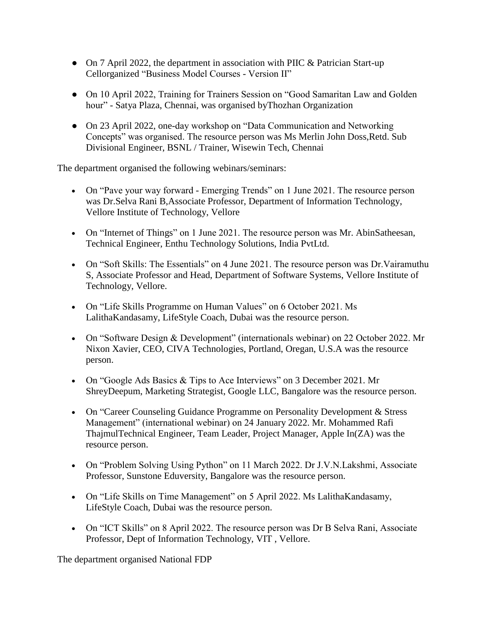- On 7 April 2022, the department in association with PIIC & Patrician Start-up Cellorganized "Business Model Courses - Version II"
- On 10 April 2022, Training for Trainers Session on "Good Samaritan Law and Golden hour" - Satya Plaza, Chennai, was organised byThozhan Organization
- On 23 April 2022, one-day workshop on "Data Communication and Networking Concepts" was organised. The resource person was Ms Merlin John Doss,Retd. Sub Divisional Engineer, BSNL / Trainer, Wisewin Tech, Chennai

The department organised the following webinars/seminars:

- On "Pave your way forward Emerging Trends" on 1 June 2021. The resource person was Dr.Selva Rani B,Associate Professor, Department of Information Technology, Vellore Institute of Technology, Vellore
- On "Internet of Things" on 1 June 2021. The resource person was Mr. AbinSatheesan, Technical Engineer, Enthu Technology Solutions, India PvtLtd.
- On "Soft Skills: The Essentials" on 4 June 2021. The resource person was Dr.Vairamuthu S, Associate Professor and Head, Department of Software Systems, Vellore Institute of Technology, Vellore.
- On "Life Skills Programme on Human Values" on 6 October 2021. Ms LalithaKandasamy, LifeStyle Coach, Dubai was the resource person.
- On "Software Design & Development" (internationals webinar) on 22 October 2022. Mr Nixon Xavier, CEO, CIVA Technologies, Portland, Oregan, U.S.A was the resource person.
- On "Google Ads Basics & Tips to Ace Interviews" on 3 December 2021. Mr ShreyDeepum, Marketing Strategist, Google LLC, Bangalore was the resource person.
- On "Career Counseling Guidance Programme on Personality Development & Stress Management" (international webinar) on 24 January 2022. Mr. Mohammed Rafi ThajmulTechnical Engineer, Team Leader, Project Manager, Apple In(ZA) was the resource person.
- On "Problem Solving Using Python" on 11 March 2022. Dr J.V.N.Lakshmi, Associate Professor, Sunstone Eduversity, Bangalore was the resource person.
- On "Life Skills on Time Management" on 5 April 2022. Ms LalithaKandasamy, LifeStyle Coach, Dubai was the resource person.
- On "ICT Skills" on 8 April 2022. The resource person was Dr B Selva Rani, Associate Professor, Dept of Information Technology, VIT , Vellore.

The department organised National FDP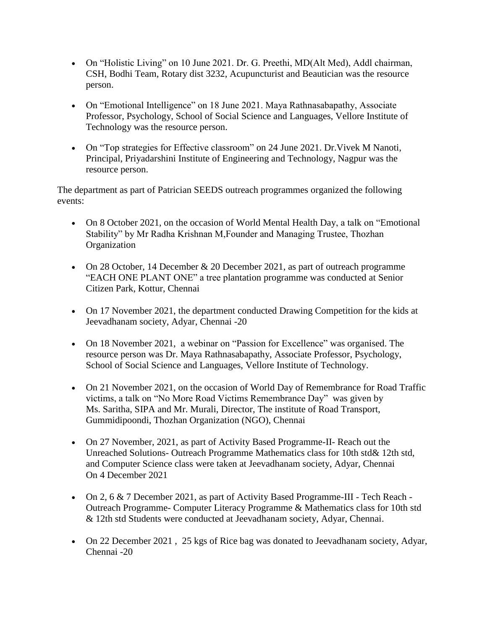- On "Holistic Living" on 10 June 2021. Dr. G. Preethi, MD(Alt Med), Addl chairman, CSH, Bodhi Team, Rotary dist 3232, Acupuncturist and Beautician was the resource person.
- On "Emotional Intelligence" on 18 June 2021. Maya Rathnasabapathy, Associate Professor, Psychology, School of Social Science and Languages, Vellore Institute of Technology was the resource person.
- On "Top strategies for Effective classroom" on 24 June 2021. Dr.Vivek M Nanoti, Principal, Priyadarshini Institute of Engineering and Technology, Nagpur was the resource person.

The department as part of Patrician SEEDS outreach programmes organized the following events:

- On 8 October 2021, on the occasion of World Mental Health Day, a talk on "Emotional" Stability" by Mr Radha Krishnan M,Founder and Managing Trustee, Thozhan Organization
- On 28 October, 14 December  $& 20$  December 2021, as part of outreach programme "EACH ONE PLANT ONE" a tree plantation programme was conducted at Senior Citizen Park, Kottur, Chennai
- On 17 November 2021, the department conducted Drawing Competition for the kids at Jeevadhanam society, Adyar, Chennai -20
- On 18 November 2021, a webinar on "Passion for Excellence" was organised. The resource person was Dr. Maya Rathnasabapathy, Associate Professor, Psychology, School of Social Science and Languages, Vellore Institute of Technology.
- On 21 November 2021, on the occasion of World Day of Remembrance for Road Traffic victims, a talk on "No More Road Victims Remembrance Day" was given by Ms. Saritha, SIPA and Mr. Murali, Director, The institute of Road Transport, Gummidipoondi, Thozhan Organization (NGO), Chennai
- On 27 November, 2021, as part of Activity Based Programme-II- Reach out the Unreached Solutions- Outreach Programme Mathematics class for 10th std& 12th std, and Computer Science class were taken at Jeevadhanam society, Adyar, Chennai On 4 December 2021
- On 2, 6 & 7 December 2021, as part of Activity Based Programme-III Tech Reach Outreach Programme- Computer Literacy Programme & Mathematics class for 10th std & 12th std Students were conducted at Jeevadhanam society, Adyar, Chennai.
- On 22 December 2021 , 25 kgs of Rice bag was donated to Jeevadhanam society, Adyar, Chennai -20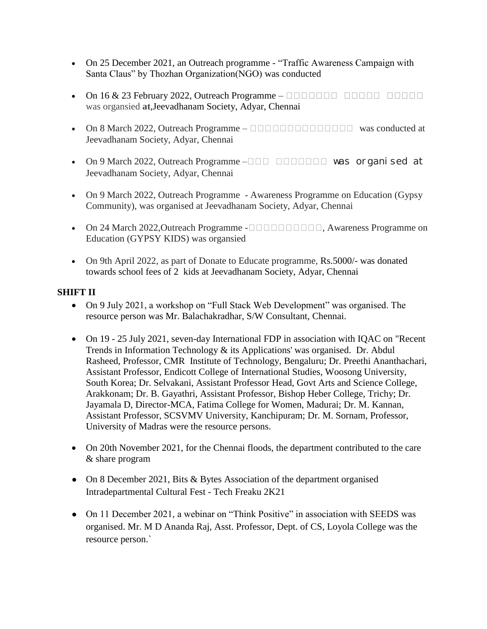- On 25 December 2021, an Outreach programme "Traffic Awareness Campaign with Santa Claus" by Thozhan Organization(NGO) was conducted
- $\bullet$  On 16 & 23 February 2022, Outreach Programme  $\Box$ was organsied **at**,Jeevadhanam Society, Adyar, Chennai
- On 8 March 2022, Outreach Programme  $\Box$  $\Box$  $\Box$  $\Box$  $\Box$  $\Box$  $\Box$  $\Box$  $\Box$  was conducted at Jeevadhanam Society, Adyar, Chennai
- On 9 March 2022, Outreach Programme –□□□ □□□□□□ was organised at Jeevadhanam Society, Adyar, Chennai
- On 9 March 2022, Outreach Programme Awareness Programme on Education (Gypsy Community), was organised at Jeevadhanam Society, Adyar, Chennai
- On 24 March 2022, Outreach Programme  $-\square \square \square \square \square \square \square \square$ , Awareness Programme on Education (GYPSY KIDS) was organsied
- On 9th April 2022, as part of Donate to Educate programme, Rs.5000/- was donated towards school fees of 2 kids at Jeevadhanam Society, Adyar, Chennai

#### **SHIFT II**

- On 9 July 2021, a workshop on "Full Stack Web Development" was organised. The resource person was Mr. Balachakradhar, S/W Consultant, Chennai.
- On 19 25 July 2021, seven-day International FDP in association with IQAC on "Recent Trends in Information Technology & its Applications' was organised. Dr. Abdul Rasheed, Professor, CMR Institute of Technology, Bengaluru; Dr. Preethi Ananthachari, Assistant Professor, Endicott College of International Studies, Woosong University, South Korea; Dr. Selvakani, Assistant Professor Head, Govt Arts and Science College, Arakkonam; Dr. B. Gayathri, Assistant Professor, Bishop Heber College, Trichy; Dr. Jayamala D, Director-MCA, Fatima College for Women, Madurai; Dr. M. Kannan, Assistant Professor, SCSVMV University, Kanchipuram; Dr. M. Sornam, Professor, University of Madras were the resource persons.
- On 20th November 2021, for the Chennai floods, the department contributed to the care & share program
- On 8 December 2021, Bits & Bytes Association of the department organised Intradepartmental Cultural Fest - Tech Freaku 2K21
- On 11 December 2021, a webinar on "Think Positive" in association with SEEDS was organised. Mr. M D Ananda Raj, Asst. Professor, Dept. of CS, Loyola College was the resource person.`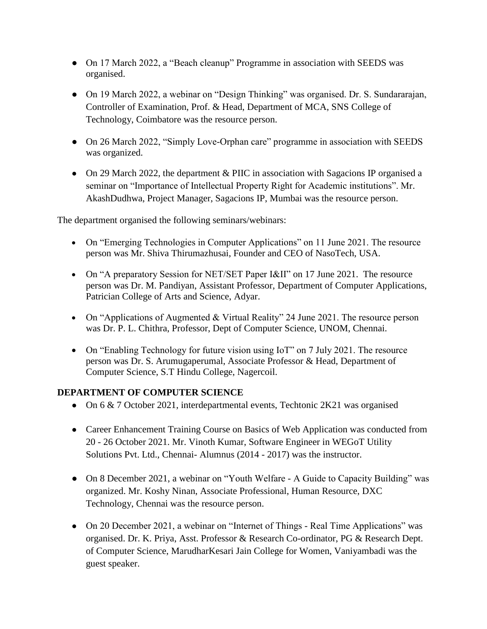- On 17 March 2022, a "Beach cleanup" Programme in association with SEEDS was organised.
- On 19 March 2022, a webinar on "Design Thinking" was organised. Dr. S. Sundararajan, Controller of Examination, Prof. & Head, Department of MCA, SNS College of Technology, Coimbatore was the resource person.
- On 26 March 2022, "Simply Love-Orphan care" programme in association with SEEDS was organized.
- On 29 March 2022, the department & PIIC in association with Sagacions IP organised a seminar on "Importance of Intellectual Property Right for Academic institutions". Mr. AkashDudhwa, Project Manager, Sagacions IP, Mumbai was the resource person.

The department organised the following seminars/webinars:

- On "Emerging Technologies in Computer Applications" on 11 June 2021. The resource person was Mr. Shiva Thirumazhusai, Founder and CEO of NasoTech, USA.
- On "A preparatory Session for NET/SET Paper I&II" on 17 June 2021. The resource person was Dr. M. Pandiyan, Assistant Professor, Department of Computer Applications, Patrician College of Arts and Science, Adyar.
- On "Applications of Augmented & Virtual Reality" 24 June 2021. The resource person was Dr. P. L. Chithra, Professor, Dept of Computer Science, UNOM, Chennai.
- On "Enabling Technology for future vision using IoT" on 7 July 2021. The resource person was Dr. S. Arumugaperumal, Associate Professor & Head, Department of Computer Science, S.T Hindu College, Nagercoil.

### **DEPARTMENT OF COMPUTER SCIENCE**

- On 6 & 7 October 2021, interdepartmental events, Techtonic 2K21 was organised
- Career Enhancement Training Course on Basics of Web Application was conducted from 20 - 26 October 2021. Mr. Vinoth Kumar, Software Engineer in WEGoT Utility Solutions Pvt. Ltd., Chennai- Alumnus (2014 - 2017) was the instructor.
- On 8 December 2021, a webinar on "Youth Welfare A Guide to Capacity Building" was organized. Mr. Koshy Ninan, Associate Professional, Human Resource, DXC Technology, Chennai was the resource person.
- On 20 December 2021, a webinar on "Internet of Things Real Time Applications" was organised. Dr. K. Priya, Asst. Professor & Research Co-ordinator, PG & Research Dept. of Computer Science, MarudharKesari Jain College for Women, Vaniyambadi was the guest speaker.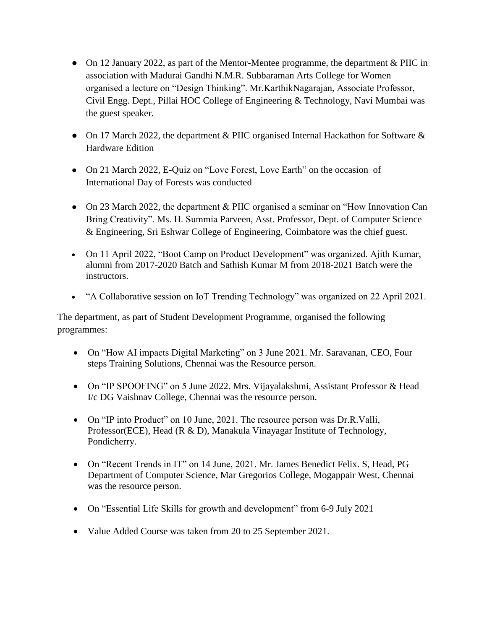- On 12 January 2022, as part of the Mentor-Mentee programme, the department & PIIC in association with Madurai Gandhi N.M.R. Subbaraman Arts College for Women organised a lecture on "Design Thinking". Mr.KarthikNagarajan, Associate Professor, Civil Engg. Dept., Pillai HOC College of Engineering & Technology, Navi Mumbai was the guest speaker.
- On 17 March 2022, the department & PIIC organised Internal Hackathon for Software & Hardware Edition
- On 21 March 2022, E-Quiz on "Love Forest, Love Earth" on the occasion of International Day of Forests was conducted
- On 23 March 2022, the department & PIIC organised a seminar on "How Innovation Can Bring Creativity". Ms. H. Summia Parveen, Asst. Professor, Dept. of Computer Science & Engineering, Sri Eshwar College of Engineering, Coimbatore was the chief guest.
- On 11 April 2022, "Boot Camp on Product Development" was organized. Ajith Kumar, alumni from 2017-2020 Batch and Sathish Kumar M from 2018-2021 Batch were the instructors.
- "A Collaborative session on IoT Trending Technology" was organized on 22 April 2021.

The department, as part of Student Development Programme, organised the following programmes:

- On "How AI impacts Digital Marketing" on 3 June 2021. Mr. Saravanan, CEO, Four steps Training Solutions, Chennai was the Resource person.
- On "IP SPOOFING" on 5 June 2022. Mrs. Vijayalakshmi, Assistant Professor & Head I/c DG Vaishnav College, Chennai was the resource person.
- On "IP into Product" on 10 June, 2021. The resource person was Dr.R.Valli, Professor(ECE), Head (R & D), Manakula Vinayagar Institute of Technology, Pondicherry.
- On "Recent Trends in IT" on 14 June, 2021. Mr. James Benedict Felix. S, Head, PG Department of Computer Science, Mar Gregorios College, Mogappair West, Chennai was the resource person.
- On "Essential Life Skills for growth and development" from 6-9 July 2021
- Value Added Course was taken from 20 to 25 September 2021.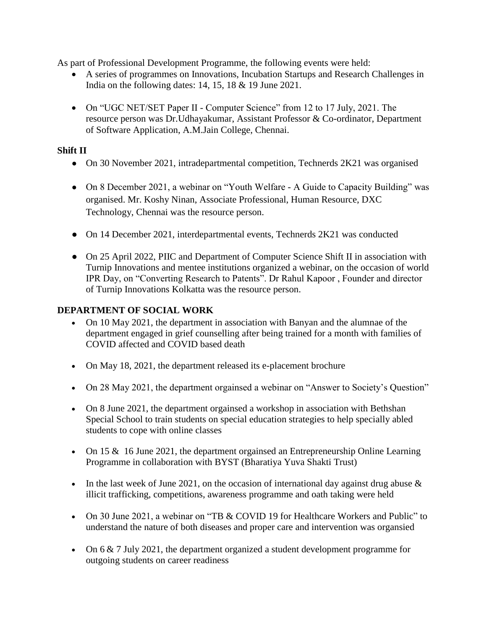As part of Professional Development Programme, the following events were held:

- A series of programmes on Innovations, Incubation Startups and Research Challenges in India on the following dates: 14, 15, 18 & 19 June 2021.
- On "UGC NET/SET Paper II Computer Science" from 12 to 17 July, 2021. The resource person was Dr.Udhayakumar, Assistant Professor & Co-ordinator, Department of Software Application, A.M.Jain College, Chennai.

#### **Shift II**

- On 30 November 2021, intradepartmental competition, Technerds 2K21 was organised
- On 8 December 2021, a webinar on "Youth Welfare A Guide to Capacity Building" was organised. Mr. Koshy Ninan, Associate Professional, Human Resource, DXC Technology, Chennai was the resource person.
- On 14 December 2021, interdepartmental events, Technerds 2K21 was conducted
- On 25 April 2022, PIIC and Department of Computer Science Shift II in association with Turnip Innovations and mentee institutions organized a webinar, on the occasion of world IPR Day, on "Converting Research to Patents". Dr Rahul Kapoor , Founder and director of Turnip Innovations Kolkatta was the resource person.

### **DEPARTMENT OF SOCIAL WORK**

- On 10 May 2021, the department in association with Banyan and the alumnae of the department engaged in grief counselling after being trained for a month with families of COVID affected and COVID based death
- On May 18, 2021, the department released its e-placement brochure
- On 28 May 2021, the department orgainsed a webinar on "Answer to Society's Question"
- On 8 June 2021, the department orgainsed a workshop in association with Bethshan Special School to train students on special education strategies to help specially abled students to cope with online classes
- On 15 & 16 June 2021, the department orgainsed an Entrepreneurship Online Learning Programme in collaboration with BYST (Bharatiya Yuva Shakti Trust)
- In the last week of June 2021, on the occasion of international day against drug abuse  $\&$ illicit trafficking, competitions, awareness programme and oath taking were held
- On 30 June 2021, a webinar on "TB & COVID 19 for Healthcare Workers and Public" to understand the nature of both diseases and proper care and intervention was organsied
- On  $6 \& 7$  July 2021, the department organized a student development programme for outgoing students on career readiness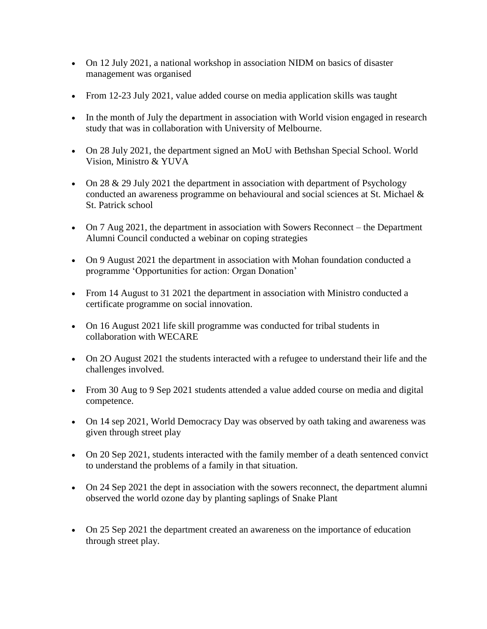- On 12 July 2021, a national workshop in association NIDM on basics of disaster management was organised
- From 12-23 July 2021, value added course on media application skills was taught
- In the month of July the department in association with World vision engaged in research study that was in collaboration with University of Melbourne.
- On 28 July 2021, the department signed an MoU with Bethshan Special School. World Vision, Ministro & YUVA
- On 28  $\&$  29 July 2021 the department in association with department of Psychology conducted an awareness programme on behavioural and social sciences at St. Michael & St. Patrick school
- On 7 Aug 2021, the department in association with Sowers Reconnect the Department Alumni Council conducted a webinar on coping strategies
- On 9 August 2021 the department in association with Mohan foundation conducted a programme 'Opportunities for action: Organ Donation'
- From 14 August to 31 2021 the department in association with Ministro conducted a certificate programme on social innovation.
- On 16 August 2021 life skill programme was conducted for tribal students in collaboration with WECARE
- On 2O August 2021 the students interacted with a refugee to understand their life and the challenges involved.
- From 30 Aug to 9 Sep 2021 students attended a value added course on media and digital competence.
- On 14 sep 2021, World Democracy Day was observed by oath taking and awareness was given through street play
- On 20 Sep 2021, students interacted with the family member of a death sentenced convict to understand the problems of a family in that situation.
- On 24 Sep 2021 the dept in association with the sowers reconnect, the department alumni observed the world ozone day by planting saplings of Snake Plant
- On 25 Sep 2021 the department created an awareness on the importance of education through street play.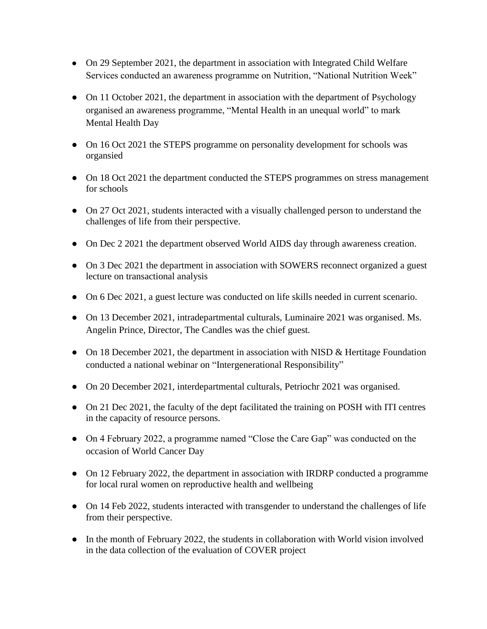- On 29 September 2021, the department in association with Integrated Child Welfare Services conducted an awareness programme on Nutrition, "National Nutrition Week"
- On 11 October 2021, the department in association with the department of Psychology organised an awareness programme, "Mental Health in an unequal world" to mark Mental Health Day
- On 16 Oct 2021 the STEPS programme on personality development for schools was organsied
- On 18 Oct 2021 the department conducted the STEPS programmes on stress management for schools
- On 27 Oct 2021, students interacted with a visually challenged person to understand the challenges of life from their perspective.
- On Dec 2 2021 the department observed World AIDS day through awareness creation.
- On 3 Dec 2021 the department in association with SOWERS reconnect organized a guest lecture on transactional analysis
- On 6 Dec 2021, a guest lecture was conducted on life skills needed in current scenario.
- On 13 December 2021, intradepartmental culturals, Luminaire 2021 was organised. Ms. Angelin Prince, Director, The Candles was the chief guest.
- On 18 December 2021, the department in association with NISD & Hertitage Foundation conducted a national webinar on "Intergenerational Responsibility"
- On 20 December 2021, interdepartmental culturals, Petriochr 2021 was organised.
- On 21 Dec 2021, the faculty of the dept facilitated the training on POSH with ITI centres in the capacity of resource persons.
- On 4 February 2022, a programme named "Close the Care Gap" was conducted on the occasion of World Cancer Day
- On 12 February 2022, the department in association with IRDRP conducted a programme for local rural women on reproductive health and wellbeing
- On 14 Feb 2022, students interacted with transgender to understand the challenges of life from their perspective.
- In the month of February 2022, the students in collaboration with World vision involved in the data collection of the evaluation of COVER project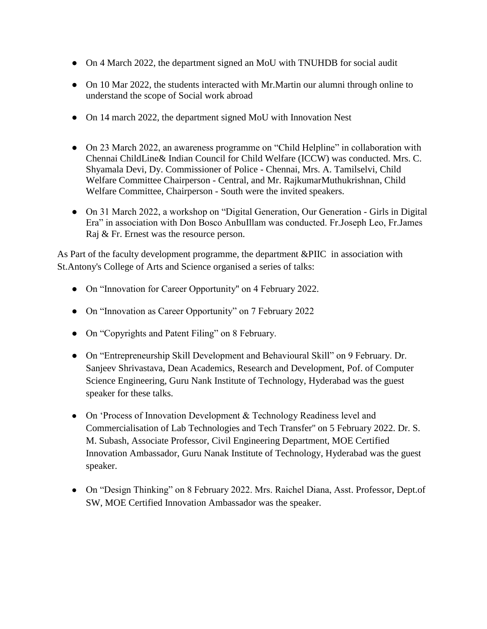- On 4 March 2022, the department signed an MoU with TNUHDB for social audit
- On 10 Mar 2022, the students interacted with Mr. Martin our alumni through online to understand the scope of Social work abroad
- On 14 march 2022, the department signed MoU with Innovation Nest
- On 23 March 2022, an awareness programme on "Child Helpline" in collaboration with Chennai ChildLine& Indian Council for Child Welfare (ICCW) was conducted. Mrs. C. Shyamala Devi, Dy. Commissioner of Police - Chennai, Mrs. A. Tamilselvi, Child Welfare Committee Chairperson - Central, and Mr. RajkumarMuthukrishnan, Child Welfare Committee, Chairperson - South were the invited speakers.
- On 31 March 2022, a workshop on "Digital Generation, Our Generation Girls in Digital Era" in association with Don Bosco AnbuIllam was conducted. Fr.Joseph Leo, Fr.James Raj & Fr. Ernest was the resource person.

As Part of the faculty development programme, the department &PIIC in association with St.Antony's College of Arts and Science organised a series of talks:

- On "Innovation for Career Opportunity'' on 4 February 2022.
- On "Innovation as Career Opportunity" on 7 February 2022
- On "Copyrights and Patent Filing" on 8 February.
- On "Entrepreneurship Skill Development and Behavioural Skill" on 9 February. Dr. Sanjeev Shrivastava, Dean Academics, Research and Development, Pof. of Computer Science Engineering, Guru Nank Institute of Technology, Hyderabad was the guest speaker for these talks.
- On 'Process of Innovation Development & Technology Readiness level and Commercialisation of Lab Technologies and Tech Transfer'' on 5 February 2022. Dr. S. M. Subash, Associate Professor, Civil Engineering Department, MOE Certified Innovation Ambassador, Guru Nanak Institute of Technology, Hyderabad was the guest speaker.
- On "Design Thinking" on 8 February 2022. Mrs. Raichel Diana, Asst. Professor, Dept.of SW, MOE Certified Innovation Ambassador was the speaker.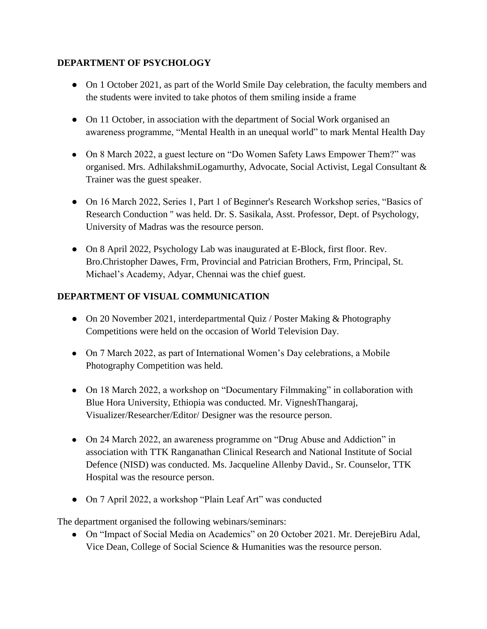### **DEPARTMENT OF PSYCHOLOGY**

- On 1 October 2021, as part of the World Smile Day celebration, the faculty members and the students were invited to take photos of them smiling inside a frame
- On 11 October, in association with the department of Social Work organised an awareness programme, "Mental Health in an unequal world" to mark Mental Health Day
- On 8 March 2022, a guest lecture on "Do Women Safety Laws Empower Them?" was organised. Mrs. AdhilakshmiLogamurthy, Advocate, Social Activist, Legal Consultant & Trainer was the guest speaker.
- On 16 March 2022, Series 1, Part 1 of Beginner's Research Workshop series, "Basics of Research Conduction '' was held. Dr. S. Sasikala, Asst. Professor, Dept. of Psychology, University of Madras was the resource person.
- On 8 April 2022, Psychology Lab was inaugurated at E-Block, first floor. Rev. Bro.Christopher Dawes, Frm, Provincial and Patrician Brothers, Frm, Principal, St. Michael's Academy, Adyar, Chennai was the chief guest.

### **DEPARTMENT OF VISUAL COMMUNICATION**

- On 20 November 2021, interdepartmental Quiz / Poster Making & Photography Competitions were held on the occasion of World Television Day.
- On 7 March 2022, as part of International Women's Day celebrations, a Mobile Photography Competition was held.
- On 18 March 2022, a workshop on "Documentary Filmmaking" in collaboration with Blue Hora University, Ethiopia was conducted. Mr. VigneshThangaraj, Visualizer/Researcher/Editor/ Designer was the resource person.
- On 24 March 2022, an awareness programme on "Drug Abuse and Addiction" in association with TTK Ranganathan Clinical Research and National Institute of Social Defence (NISD) was conducted. Ms. Jacqueline Allenby David., Sr. Counselor, TTK Hospital was the resource person.
- On 7 April 2022, a workshop "Plain Leaf Art" was conducted

The department organised the following webinars/seminars:

• On "Impact of Social Media on Academics" on 20 October 2021. Mr. DerejeBiru Adal, Vice Dean, College of Social Science & Humanities was the resource person.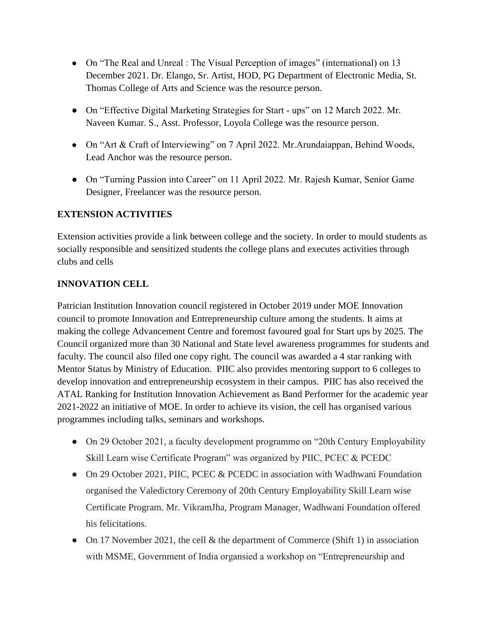- On "The Real and Unreal : The Visual Perception of images" (international) on 13 December 2021. Dr. Elango, Sr. Artist, HOD, PG Department of Electronic Media, St. Thomas College of Arts and Science was the resource person.
- On "Effective Digital Marketing Strategies for Start ups" on 12 March 2022. Mr. Naveen Kumar. S., Asst. Professor, Loyola College was the resource person.
- On "Art & Craft of Interviewing" on 7 April 2022. Mr.Arundaiappan, Behind Woods, Lead Anchor was the resource person.
- On "Turning Passion into Career" on 11 April 2022. Mr. Rajesh Kumar, Senior Game Designer, Freelancer was the resource person.

### **EXTENSION ACTIVITIES**

Extension activities provide a link between college and the society. In order to mould students as socially responsible and sensitized students the college plans and executes activities through clubs and cells

### **INNOVATION CELL**

Patrician Institution Innovation council registered in October 2019 under MOE Innovation council to promote Innovation and Entrepreneurship culture among the students. It aims at making the college Advancement Centre and foremost favoured goal for Start ups by 2025. The Council organized more than 30 National and State level awareness programmes for students and faculty. The council also filed one copy right. The council was awarded a 4 star ranking with Mentor Status by Ministry of Education. PIIC also provides mentoring support to 6 colleges to develop innovation and entrepreneurship ecosystem in their campus. PIIC has also received the ATAL Ranking for Institution Innovation Achievement as Band Performer for the academic year 2021-2022 an initiative of MOE. In order to achieve its vision, the cell has organised various programmes including talks, seminars and workshops.

- On 29 October 2021, a faculty development programme on "20th Century Employability Skill Learn wise Certificate Program" was organized by PIIC, PCEC & PCEDC
- On 29 October 2021, PIIC, PCEC & PCEDC in association with Wadhwani Foundation organised the Valedictory Ceremony of 20th Century Employability Skill Learn wise Certificate Program. Mr. VikramJha, Program Manager, Wadhwani Foundation offered his felicitations.
- On 17 November 2021, the cell & the department of Commerce (Shift 1) in association with MSME, Government of India organsied a workshop on "Entrepreneurship and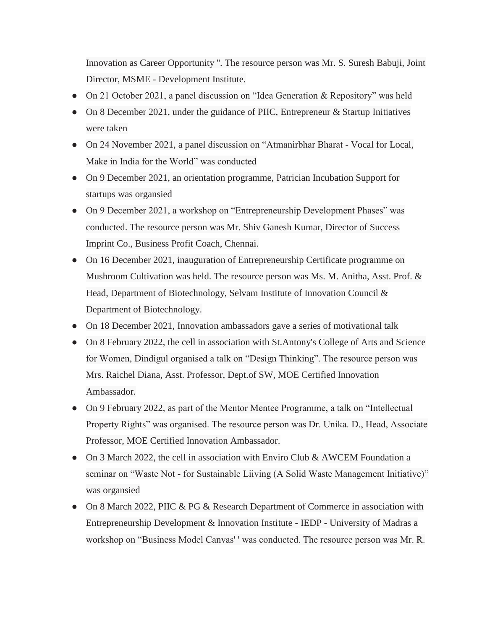Innovation as Career Opportunity ''. The resource person was Mr. S. Suresh Babuji, Joint Director, MSME - Development Institute.

- On 21 October 2021, a panel discussion on "Idea Generation & Repository" was held
- On 8 December 2021, under the guidance of PIIC, Entrepreneur & Startup Initiatives were taken
- On 24 November 2021, a panel discussion on "Atmanirbhar Bharat Vocal for Local, Make in India for the World" was conducted
- On 9 December 2021, an orientation programme, Patrician Incubation Support for startups was organsied
- On 9 December 2021, a workshop on "Entrepreneurship Development Phases" was conducted. The resource person was Mr. Shiv Ganesh Kumar, Director of Success Imprint Co., Business Profit Coach, Chennai.
- On 16 December 2021, inauguration of Entrepreneurship Certificate programme on Mushroom Cultivation was held. The resource person was Ms. M. Anitha, Asst. Prof. & Head, Department of Biotechnology, Selvam Institute of Innovation Council & Department of Biotechnology.
- On 18 December 2021, Innovation ambassadors gave a series of motivational talk
- On 8 February 2022, the cell in association with St.Antony's College of Arts and Science for Women, Dindigul organised a talk on "Design Thinking". The resource person was Mrs. Raichel Diana, Asst. Professor, Dept.of SW, MOE Certified Innovation Ambassador.
- On 9 February 2022, as part of the Mentor Mentee Programme, a talk on "Intellectual Property Rights" was organised. The resource person was Dr. Unika. D., Head, Associate Professor, MOE Certified Innovation Ambassador.
- On 3 March 2022, the cell in association with Enviro Club & AWCEM Foundation a seminar on "Waste Not - for Sustainable Liiving (A Solid Waste Management Initiative)" was organsied
- On 8 March 2022, PIIC & PG & Research Department of Commerce in association with Entrepreneurship Development & Innovation Institute - IEDP - University of Madras a workshop on "Business Model Canvas' ' was conducted. The resource person was Mr. R.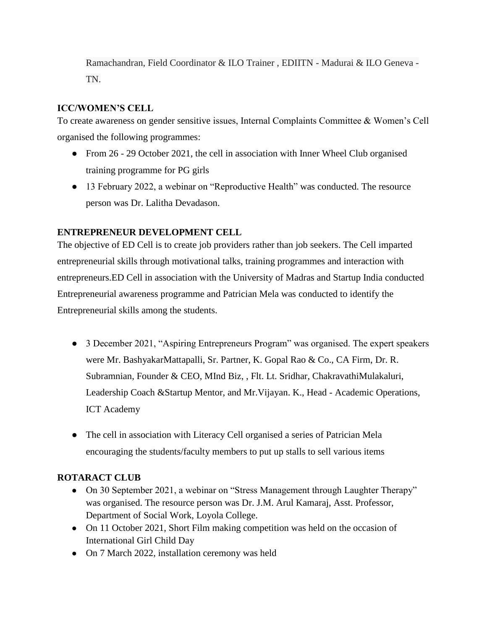Ramachandran, Field Coordinator & ILO Trainer , EDIITN - Madurai & ILO Geneva - TN.

### **ICC/WOMEN'S CELL**

To create awareness on gender sensitive issues, Internal Complaints Committee & Women's Cell organised the following programmes:

- From 26 29 October 2021, the cell in association with Inner Wheel Club organised training programme for PG girls
- 13 February 2022, a webinar on "Reproductive Health" was conducted. The resource person was Dr. Lalitha Devadason.

### **ENTREPRENEUR DEVELOPMENT CELL**

The objective of ED Cell is to create job providers rather than job seekers. The Cell imparted entrepreneurial skills through motivational talks, training programmes and interaction with entrepreneurs.ED Cell in association with the University of Madras and Startup India conducted Entrepreneurial awareness programme and Patrician Mela was conducted to identify the Entrepreneurial skills among the students.

- 3 December 2021, "Aspiring Entrepreneurs Program" was organised. The expert speakers were Mr. BashyakarMattapalli, Sr. Partner, K. Gopal Rao & Co., CA Firm, Dr. R. Subramnian, Founder & CEO, MInd Biz, , Flt. Lt. Sridhar, ChakravathiMulakaluri, Leadership Coach &Startup Mentor, and Mr.Vijayan. K., Head - Academic Operations, ICT Academy
- The cell in association with Literacy Cell organised a series of Patrician Mela encouraging the students/faculty members to put up stalls to sell various items

#### **ROTARACT CLUB**

- On 30 September 2021, a webinar on "Stress Management through Laughter Therapy" was organised. The resource person was Dr. J.M. Arul Kamaraj, Asst. Professor, Department of Social Work, Loyola College.
- On 11 October 2021, Short Film making competition was held on the occasion of International Girl Child Day
- On 7 March 2022, installation ceremony was held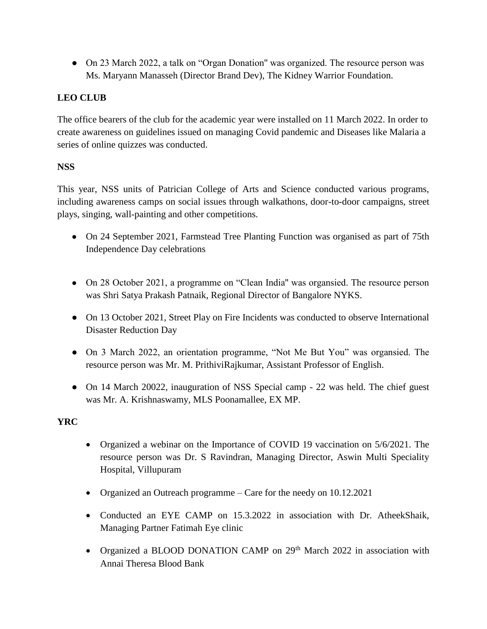● On 23 March 2022, a talk on "Organ Donation'' was organized. The resource person was Ms. Maryann Manasseh (Director Brand Dev), The Kidney Warrior Foundation.

### **LEO CLUB**

The office bearers of the club for the academic year were installed on 11 March 2022. In order to create awareness on guidelines issued on managing Covid pandemic and Diseases like Malaria a series of online quizzes was conducted.

### **NSS**

This year, NSS units of Patrician College of Arts and Science conducted various programs, including awareness camps on social issues through walkathons, door-to-door campaigns, street plays, singing, wall-painting and other competitions.

- On 24 September 2021, Farmstead Tree Planting Function was organised as part of 75th Independence Day celebrations
- On 28 October 2021, a programme on "Clean India" was organsied. The resource person was Shri Satya Prakash Patnaik, Regional Director of Bangalore NYKS.
- On 13 October 2021, Street Play on Fire Incidents was conducted to observe International Disaster Reduction Day
- On 3 March 2022, an orientation programme, "Not Me But You" was organised. The resource person was Mr. M. PrithiviRajkumar, Assistant Professor of English.
- On 14 March 20022, inauguration of NSS Special camp 22 was held. The chief guest was Mr. A. Krishnaswamy, MLS Poonamallee, EX MP.

### **YRC**

- Organized a webinar on the Importance of COVID 19 vaccination on 5/6/2021. The resource person was Dr. S Ravindran, Managing Director, Aswin Multi Speciality Hospital, Villupuram
- Organized an Outreach programme Care for the needy on 10.12.2021
- Conducted an EYE CAMP on 15.3.2022 in association with Dr. AtheekShaik, Managing Partner Fatimah Eye clinic
- Organized a BLOOD DONATION CAMP on 29<sup>th</sup> March 2022 in association with Annai Theresa Blood Bank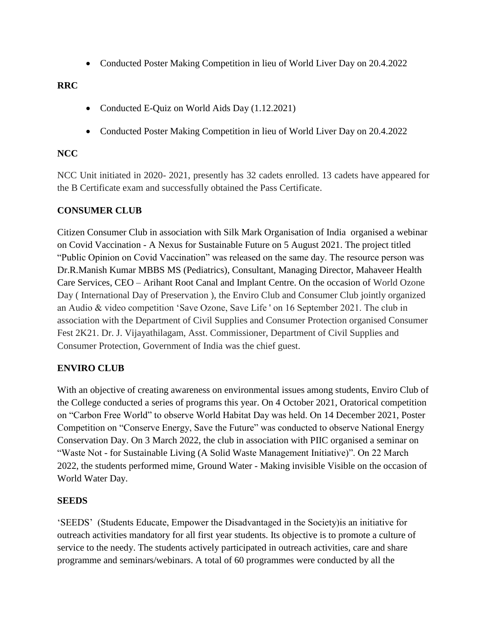• Conducted Poster Making Competition in lieu of World Liver Day on 20.4.2022

### **RRC**

- Conducted E-Quiz on World Aids Day (1.12.2021)
- Conducted Poster Making Competition in lieu of World Liver Day on 20.4.2022

#### **NCC**

NCC Unit initiated in 2020- 2021, presently has 32 cadets enrolled. 13 cadets have appeared for the B Certificate exam and successfully obtained the Pass Certificate.

### **CONSUMER CLUB**

Citizen Consumer Club in association with Silk Mark Organisation of India organised a webinar on Covid Vaccination - A Nexus for Sustainable Future on 5 August 2021. The project titled "Public Opinion on Covid Vaccination" was released on the same day. The resource person was Dr.R.Manish Kumar MBBS MS (Pediatrics), Consultant, Managing Director, Mahaveer Health Care Services, CEO – Arihant Root Canal and Implant Centre. On the occasion of World Ozone Day ( International Day of Preservation ), the Enviro Club and Consumer Club jointly organized an Audio & video competition 'Save Ozone, Save Life ' on 16 September 2021. The club in association with the Department of Civil Supplies and Consumer Protection organised Consumer Fest 2K21. Dr. J. Vijayathilagam, Asst. Commissioner, Department of Civil Supplies and Consumer Protection, Government of India was the chief guest.

### **ENVIRO CLUB**

With an objective of creating awareness on environmental issues among students, Enviro Club of the College conducted a series of programs this year. On 4 October 2021, Oratorical competition on "Carbon Free World" to observe World Habitat Day was held. On 14 December 2021, Poster Competition on "Conserve Energy, Save the Future" was conducted to observe National Energy Conservation Day. On 3 March 2022, the club in association with PIIC organised a seminar on "Waste Not - for Sustainable Living (A Solid Waste Management Initiative)". On 22 March 2022, the students performed mime, Ground Water - Making invisible Visible on the occasion of World Water Day.

#### **SEEDS**

'SEEDS' (Students Educate, Empower the Disadvantaged in the Society)is an initiative for outreach activities mandatory for all first year students. Its objective is to promote a culture of service to the needy. The students actively participated in outreach activities, care and share programme and seminars/webinars. A total of 60 programmes were conducted by all the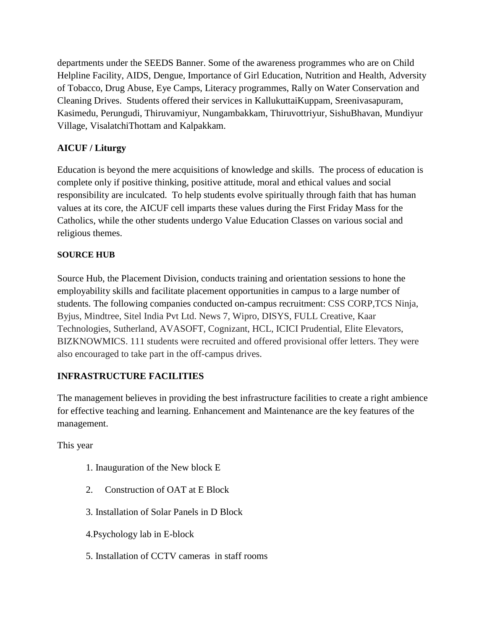departments under the SEEDS Banner. Some of the awareness programmes who are on Child Helpline Facility, AIDS, Dengue, Importance of Girl Education, Nutrition and Health, Adversity of Tobacco, Drug Abuse, Eye Camps, Literacy programmes, Rally on Water Conservation and Cleaning Drives. Students offered their services in KallukuttaiKuppam, Sreenivasapuram, Kasimedu, Perungudi, Thiruvamiyur, Nungambakkam, Thiruvottriyur, SishuBhavan, Mundiyur Village, VisalatchiThottam and Kalpakkam.

### **AICUF / Liturgy**

Education is beyond the mere acquisitions of knowledge and skills. The process of education is complete only if positive thinking, positive attitude, moral and ethical values and social responsibility are inculcated. To help students evolve spiritually through faith that has human values at its core, the AICUF cell imparts these values during the First Friday Mass for the Catholics, while the other students undergo Value Education Classes on various social and religious themes.

#### **SOURCE HUB**

Source Hub, the Placement Division, conducts training and orientation sessions to hone the employability skills and facilitate placement opportunities in campus to a large number of students. The following companies conducted on-campus recruitment: CSS CORP,TCS Ninja, Byjus, Mindtree, Sitel India Pvt Ltd. News 7, Wipro, DISYS, FULL Creative, Kaar Technologies, Sutherland, AVASOFT, Cognizant, HCL, ICICI Prudential, Elite Elevators, BIZKNOWMICS. 111 students were recruited and offered provisional offer letters. They were also encouraged to take part in the off-campus drives.

### **INFRASTRUCTURE FACILITIES**

The management believes in providing the best infrastructure facilities to create a right ambience for effective teaching and learning. Enhancement and Maintenance are the key features of the management.

This year

- 1. Inauguration of the New block E
- 2. Construction of OAT at E Block
- 3. Installation of Solar Panels in D Block
- 4.Psychology lab in E-block
- 5. Installation of CCTV cameras in staff rooms